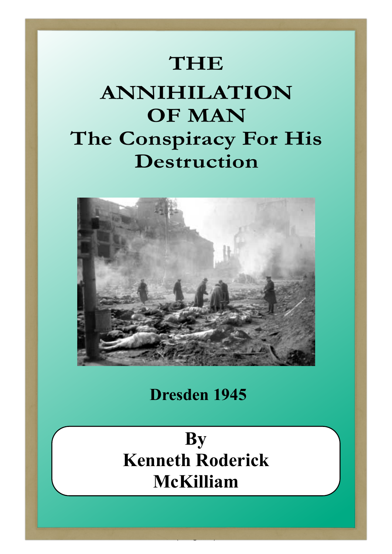## **THE**

## **ANNIHILATION OF MAN The Conspiracy For His Destruction**



**Dresden 1945**

**By Kenneth Roderick McKilliam**

 $\mathcal{F}$  -  $\mathcal{F}$  )  $\mathcal{F}$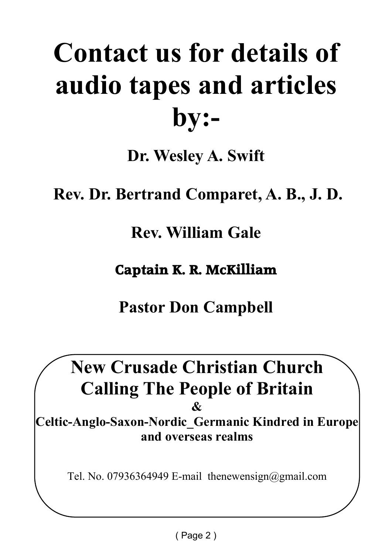# **Contact us for details of audio tapes and articles by:-**

**Dr. Wesley A. Swift**

 **Rev. Dr. Bertrand Comparet, A. B., J. D.**

**Rev. William Gale**

**Captain K. R. McKilliam**

**Pastor Don Campbell**

**New Crusade Christian Church Calling The People of Britain**

**&**

**Celtic-Anglo-Saxon-Nordic\_Germanic Kindred in Europe and overseas realms**

Tel. No. 07936364949 E-mail thenewensign@gmail.com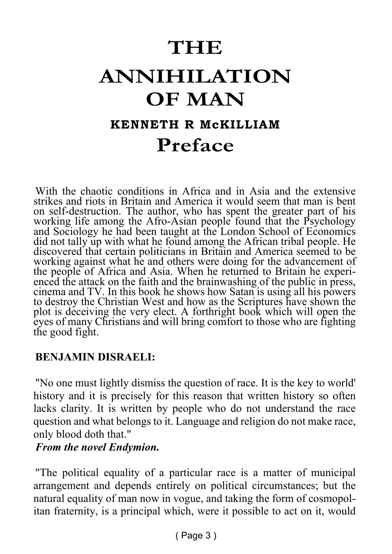## **THE ANNIHILATION OF MAN KENNETH R McKILLIAM Preface**

With the chaotic conditions in Africa and in Asia and the extensive strikes and riots in Britain and America it would seem that man is bent on self-destruction. The author, who has spent the greater part of his working life among the Afro-Asian people found that the Psychology and Sociology he had been taught at the London School of Economics did not tally up with what he found among the African tribal people. He discovered that certain politicians in Britain and America seemed to be working against what he and others were doing for the advancement of the people of Africa and Asia. When he returned to Britain he experienced the attack on the faith and the brainwashing of the public in press, cinema and TV. In this book he shows how Satan is using all his powers to destroy the Christian West and how as the Scriptures have shown the plot is deceiving the very elect. A forthright book which will open the eyes of many Christians and will bring comfort to those who are fighting the good fight.

#### **BENJAMIN DISRAELI:**

"No one must lightly dismiss the question of race. It is the key to world' history and it is precisely for this reason that written history so often lacks clarity. It is written by people who do not understand the race question and what belongs to it. Language and religion do not make race, only blood doth that."

#### *From the novel Endymion.*

"The political equality of a particular race is a matter of municipal arrangement and depends entirely on political circumstances; but the natural equality of man now in vogue, and taking the form of cosmopolitan fraternity, is a principal which, were it possible to act on it, would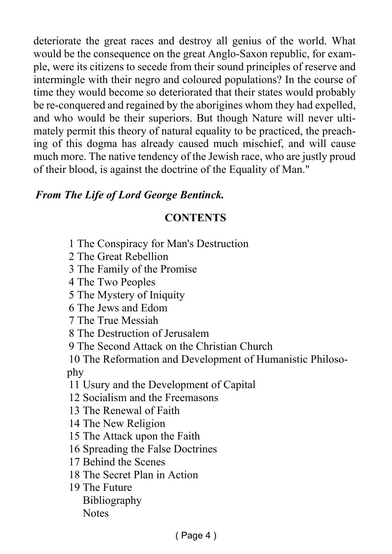deteriorate the great races and destroy all genius of the world. What would be the consequence on the great Anglo-Saxon republic, for example, were its citizens to secede from their sound principles of reserve and intermingle with their negro and coloured populations? In the course of time they would become so deteriorated that their states would probably be re-conquered and regained by the aborigines whom they had expelled, and who would be their superiors. But though Nature will never ultimately permit this theory of natural equality to be practiced, the preaching of this dogma has already caused much mischief, and will cause much more. The native tendency of the Jewish race, who are justly proud of their blood, is against the doctrine of the Equality of Man."

#### *From The Life of Lord George Bentinck.*

#### **CONTENTS**

- 1 The Conspiracy for Man's Destruction
- 2 The Great Rebellion

3 The Family of the Promise

4 The Two Peoples

5 The Mystery of Iniquity

6 The Jews and Edom

7 The True Messiah

8 The Destruction of Jerusalem

9 The Second Attack on the Christian Church

10 The Reformation and Development of Humanistic Philosophy

11 Usury and the Development of Capital

12 Socialism and the Freemasons

13 The Renewal of Faith

14 The New Religion

15 The Attack upon the Faith

16 Spreading the False Doctrines

17 Behind the Scenes

18 The Secret Plan in Action

19 The Future Bibliography Notes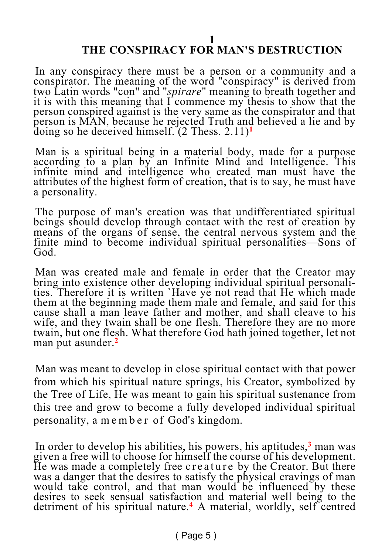#### **THE CONSPIRACY FOR MAN'S DESTRUCTION**

In any conspiracy there must be a person or a community and a conspirator. The meaning of the word "conspiracy" is derived from two Latin words "con" and "*spirare*" meaning to breath together and it is with this meaning that  $\vec{l}$  commence my thesis to show that the person conspired against is the very same as the conspirator and that person is MAN, because he rejected Truth and believed a lie and by doing so he deceived himself. (2 Thess. 2.11)**<sup>1</sup>**

Man is a spiritual being in a material body, made for a purpose according to a plan by an Infinite Mind and Intelligence. This infinite mind and intelligence who created man must have the attributes of the highest form of creation, that is to say, he must have a personality.

The purpose of man's creation was that undifferentiated spiritual beings should develop through contact with the rest of creation by means of the organs of sense, the central nervous system and the finite mind to become individual spiritual personalities—Sons of God.

Man was created male and female in order that the Creator may bring into existence other developing individual spiritual personalities. Therefore it is written `Have ye not read that He which made them at the beginning made them male and female, and said for this cause shall a man leave father and mother, and shall cleave to his wife, and they twain shall be one flesh. Therefore they are no more twain, but one flesh. What therefore God hath joined together, let not man put asunder.<sup>2</sup>

Man was meant to develop in close spiritual contact with that power from which his spiritual nature springs, his Creator, symbolized by the Tree of Life, He was meant to gain his spiritual sustenance from this tree and grow to become a fully developed individual spiritual personality, a m e m b e r of God's kingdom.

In order to develop his abilities, his powers, his aptitudes,**<sup>3</sup>** man was given a free will to choose for himself the course of his development. He was made a completely free creature by the Creator. But there was a danger that the desires to satisfy the physical cravings of man would take control, and that man would be influenced by these desires to seek sensual satisfaction and material well being to the detriment of his spiritual nature.**<sup>4</sup>** A material, worldly, self centred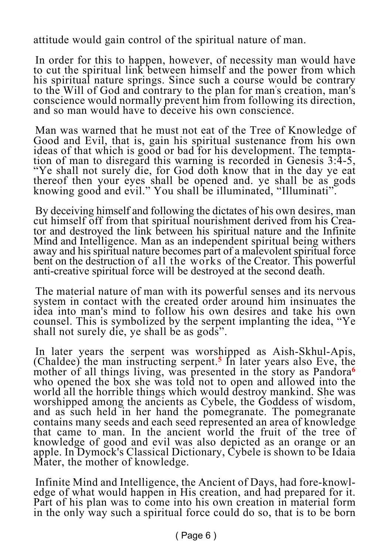attitude would gain control of the spiritual nature of man.

In order for this to happen, however, of necessity man would have to cut the spiritual link between himself and the power from which his spiritual nature springs. Since such a course would be contrary to the Will of God and contrary to the plan for man' s creation, man's conscience would normally prevent him from following its direction, and so man would have to deceive his own conscience.

Man was warned that he must not eat of the Tree of Knowledge of Good and Evil, that is, gain his spiritual sustenance from his own ideas of that which is good or bad for his development. The temptation of man to disregard this warning is recorded in Genesis 3:4-5, "Ye shall not surely die, for God doth know that in the day ye eat thereof then your eyes shall be opened and. ye shall be as gods knowing good and evil." You shall be illuminated, "Illuminati".

By deceiving himself and following the dictates of his own desires, man cut himself off from that spiritual nourishment derived from his Creator and destroyed the link between his spiritual nature and the Infinite Mind and Intelligence. Man as an independent spiritual being withers away and his spiritual nature becomes part of a malevolent spiritual force bent on the destruction of all the works of the Creator. This powerful anti-creative spiritual force will be destroyed at the second death.

The material nature of man with its powerful senses and its nervous system in contact with the created order around him insinuates the idea into man's mind to follow his own desires and take his own counsel. This is symbolized by the serpent implanting the idea, "Ye shall not surely die, ye shall be as gods".

In later years the serpent was worshipped as Aish-Skhul-Apis, (Chaldee) the man instructing serpent.**<sup>5</sup>** In later years also Eve, the mother of all things living, was presented in the story as Pandora**<sup>6</sup>** who opened the box she was told not to open and allowed into the world all the horrible things which would destroy mankind. She was worshipped among the ancients as Cybele, the Goddess of wisdom, and as such held in her hand the pomegranate. The pomegranate contains many seeds and each seed represented an area of knowledge that came to man. In the ancient world the fruit of the tree of knowledge of good and evil was also depicted as an orange or an apple. In Dymock's Classical Dictionary, Cybele is shown to be Idaia Mater, the mother of knowledge.

Infinite Mind and Intelligence, the Ancient of Days, had fore-knowledge of what would happen in His creation, and had prepared for it. Part of his plan was to come into his own creation in material form in the only way such a spiritual force could do so, that is to be born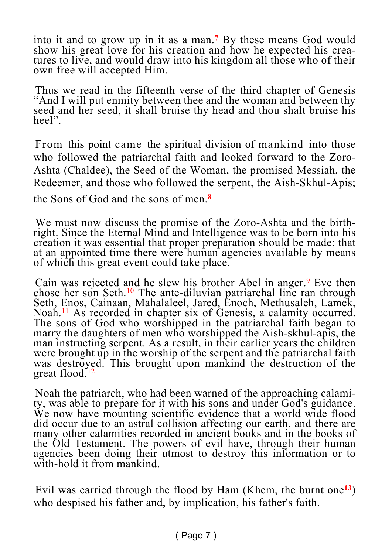into it and to grow up in it as a man.**<sup>7</sup>** By these means God would show his great love for his creation and how he expected his creatures to live, and would draw into his kingdom all those who of their own free will accepted Him.

Thus we read in the fifteenth verse of the third chapter of Genesis "And I will put enmity between thee and the woman and between thy seed and her seed, it shall bruise thy head and thou shalt bruise his heel".

From this point came the spiritual division of mankind into those who followed the patriarchal faith and looked forward to the Zoro-Ashta (Chaldee), the Seed of the Woman, the promised Messiah, the Redeemer, and those who followed the serpent, the Aish-Skhul-Apis;

the Sons of God and the sons of men.**<sup>8</sup>**

We must now discuss the promise of the Zoro-Ashta and the birthright. Since the Eternal Mind and Intelligence was to be born into his creation it was essential that proper preparation should be made; that at an appointed time there were human agencies available by means of which this great event could take place.

Cain was rejected and he slew his brother Abel in anger.<sup>9</sup> Eve then chose her son Seth.<sup>10</sup> The ante-diluvian patriarchal line ran through Seth, Enos, Cainaan, Mahalaleel, Jared, Enoch, Methusaleh, Lamek, Noah.<sup>11</sup> As recorded in chapter six of Genesis, a calamity occurred. The sons of God who worshipped in the patriarchal faith began to marry the daughters of men who worshipped the Aish-skhul-apis, the man instructing serpent. As a result, in their earlier years the children were brought up in the worship of the serpent and the patriarchal faith was destroyed. This brought upon mankind the destruction of the great flood.<sup>12</sup>

Noah the patriarch, who had been warned of the approaching calamity, was able to prepare for it with his sons and under God's guidance. We now have mounting scientific evidence that a world wide flood did occur due to an astral collision affecting our earth, and there are many other calamities recorded in ancient books and in the books of the Old Testament. The powers of evil have, through their human agencies been doing their utmost to destroy this information or to with-hold it from mankind.

Evil was carried through the flood by Ham (Khem, the burnt one**<sup>13</sup>**) who despised his father and, by implication, his father's faith.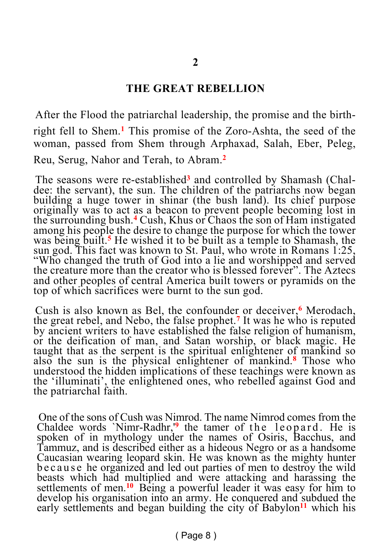#### **THE GREAT REBELLION**

After the Flood the patriarchal leadership, the promise and the birthright fell to Shem.**<sup>1</sup>** This promise of the Zoro-Ashta, the seed of the woman, passed from Shem through Arphaxad, Salah, Eber, Peleg, Reu, Serug, Nahor and Terah, to Abram.**<sup>2</sup>**

The seasons were re-established<sup>3</sup> and controlled by Shamash (Chaldee: the servant), the sun. The children of the patriarchs now began building a huge tower in shinar (the bush land). Its chief purpose originally was to act as a beacon to prevent people becoming lost in the surrounding bush.**<sup>4</sup>** Cush, Khus or Chaos the son of Ham instigated among his people the desire to change the purpose for which the tower was being built.**<sup>5</sup>** He wished it to be built as a temple to Shamash, the sun god. This fact was known to St. Paul, who wrote in Romans  $1:25$ , "Who changed the truth of God into a lie and worshipped and served the creature more than the creator who is blessed forever". The Aztecs and other peoples of central America built towers or pyramids on the top of which sacrifices were burnt to the sun god.

Cush is also known as Bel, the confounder or deceiver,**<sup>6</sup>** Merodach, the great rebel, and Nebo, the false prophet.**<sup>7</sup>** It was he who is reputed by ancient writers to have established the false religion of humanism, or the deification of man, and Satan worship, or black magic. He taught that as the serpent is the spiritual enlightener of mankind so also the sun is the physical enlightener of mankind.**<sup>8</sup>** Those who understood the hidden implications of these teachings were known as the 'illuminati', the enlightened ones, who rebelled against God and the patriarchal faith.

One of the sons of Cush was Nimrod. The name Nimrod comes from the Chaldee words `Nimr-Radhr,<sup>'9</sup> the tamer of the leopard. He is spoken of in mythology under the names of Osiris, Bacchus, and Tammuz, and is described either as a hideous Negro or as a handsome Caucasian wearing leopard skin. He was known as the mighty hunter b e c a u s e he organized and led out parties of men to destroy the wild beasts which had multiplied and were attacking and harassing the settlements of men.<sup>10</sup> Being a powerful leader it was easy for him to develop his organisation into an army. He conquered and subdued the early settlements and began building the city of Babylon<sup>11</sup> which his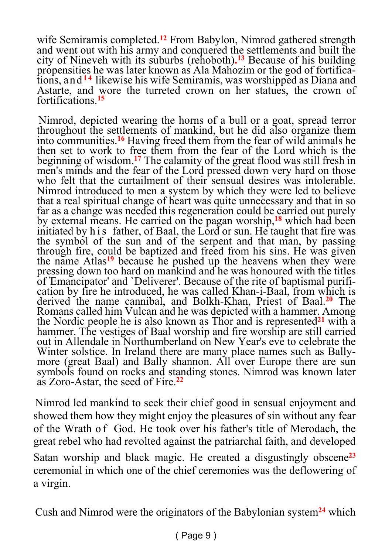wife Semiramis completed.**<sup>12</sup>** From Babylon, Nimrod gathered strength and went out with his army and conquered the settlements and built the city of Nineveh with its suburbs (rehoboth)**. <sup>13</sup>** Because of his building propensities he was later known as Ala Mahozim or the god of fortifications, and**1 4** likewise his wife Semiramis, was worshipped as Diana and Astarte, and wore the turreted crown on her statues, the crown of fortifications.**<sup>15</sup>**

Nimrod, depicted wearing the horns of a bull or a goat, spread terror throughout the settlements of mankind, but he did also organize them into communities.**<sup>16</sup>** Having freed them from the fear of wild animals he then set to work to free them from the fear of the Lord which is the beginning of wisdom.**<sup>17</sup>** The calamity of the great flood was still fresh in men's minds and the fear of the Lord pressed down very hard on those who felt that the curtailment of their sensual desires was intolerable. Nimrod introduced to men a system by which they were led to believe that a real spiritual change of heart was quite unnecessary and that in so far as a change was needed this regeneration could be carried out purely by external means. He carried on the pagan worship,**<sup>18</sup>** which had been initiated by h i s father, of Baal, the Lord or sun. He taught that fire was the symbol of the sun and of the serpent and that man, by passing through fire, could be baptized and freed from his sins. He was given the name Atlas**<sup>19</sup>** because he pushed up the heavens when they were pressing down too hard on mankind and he was honoured with the titles of 'Emancipator' and `Deliverer'. Because of the rite of baptismal purification by fire he introduced, he was called Khan-i-Baal, from which is derived the name cannibal, and Bolkh-Khan, Priest of Baal.**<sup>20</sup>** The Romans called him Vulcan and he was depicted with a hammer. Among the Nordic people he is also known as Thor and is represented**<sup>21</sup>** with a hammer. The vestiges of Baal worship and fire worship are still carried out in Allendale in Northumberland on New Year's eve to celebrate the Winter solstice. In Ireland there are many place names such as Ballymore (great Baal) and Bally shannon. All over Europe there are sun symbols found on rocks and standing stones. Nimrod was known later as Zoro-Astar, the seed of Fire.**<sup>22</sup>**

Nimrod led mankind to seek their chief good in sensual enjoyment and showed them how they might enjoy the pleasures of sin without any fear of the Wrath o f God. He took over his father's title of Merodach, the great rebel who had revolted against the patriarchal faith, and developed Satan worship and black magic. He created a disgustingly obscene**<sup>23</sup>** ceremonial in which one of the chief ceremonies was the deflowering of a virgin.

Cush and Nimrod were the originators of the Babylonian system**24** which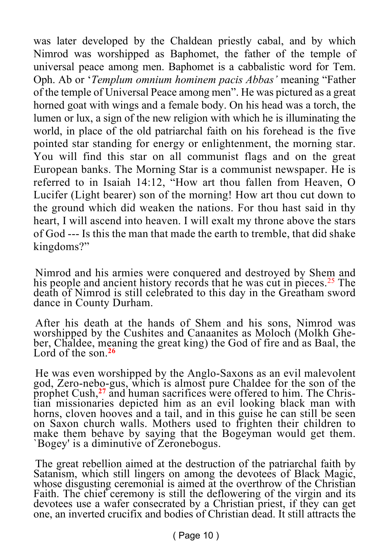was later developed by the Chaldean priestly cabal, and by which Nimrod was worshipped as Baphomet, the father of the temple of universal peace among men. Baphomet is a cabbalistic word for Tem. Oph. Ab or '*Templum omnium hominem pacis Abbas'* meaning "Father of the temple of Universal Peace among men". He was pictured as a great horned goat with wings and a female body. On his head was a torch, the lumen or lux, a sign of the new religion with which he is illuminating the world, in place of the old patriarchal faith on his forehead is the five pointed star standing for energy or enlightenment, the morning star. You will find this star on all communist flags and on the great European banks. The Morning Star is a communist newspaper. He is referred to in Isaiah 14:12, "How art thou fallen from Heaven, O Lucifer (Light bearer) son of the morning! How art thou cut down to the ground which did weaken the nations. For thou hast said in thy heart, I will ascend into heaven. I will exalt my throne above the stars of God --- Is this the man that made the earth to tremble, that did shake kingdoms?"

Nimrod and his armies were conquered and destroyed by Shem and his people and ancient history records that he was cut in pieces.<sup>25</sup> The death of Nimrod is still celebrated to this day in the Greatham sword dance in County Durham.

After his death at the hands of Shem and his sons, Nimrod was worshipped by the Cushites and Canaanites as Moloch (Molkh Gheber, Chaldee, meaning the great king) the God of fire and as Baal, the Lord of the son 26

He was even worshipped by the Anglo-Saxons as an evil malevolent god, Zero-nebo-gus, which is almost pure Chaldee for the son of the prophet Cush,**27** and human sacrifices were offered to him. The Christian missionaries depicted him as an evil looking black man with horns, cloven hooves and a tail, and in this guise he can still be seen on Saxon church walls. Mothers used to frighten their children to make them behave by saying that the Bogeyman would get them. `Bogey' is a diminutive of Zeronebogus.

The great rebellion aimed at the destruction of the patriarchal faith by Satanism, which still lingers on among the devotees of Black Magic, whose disgusting ceremonial is aimed at the overthrow of the Christian Faith. The chief ceremony is still the deflowering of the virgin and its devotees use a wafer consecrated by a Christian priest, if they can get one, an inverted crucifix and bodies of Christian dead. It still attracts the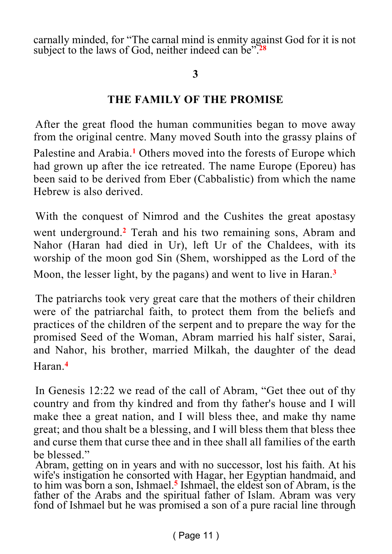carnally minded, for "The carnal mind is enmity against God for it is not subject to the laws of God, neither indeed can be".**<sup>28</sup>**

#### **3**

#### **THE FAMILY OF THE PROMISE**

After the great flood the human communities began to move away from the original centre. Many moved South into the grassy plains of Palestine and Arabia.**<sup>1</sup>** Others moved into the forests of Europe which had grown up after the ice retreated. The name Europe (Eporeu) has been said to be derived from Eber (Cabbalistic) from which the name Hebrew is also derived.

With the conquest of Nimrod and the Cushites the great apostasy went underground.**<sup>2</sup>** Terah and his two remaining sons, Abram and Nahor (Haran had died in Ur), left Ur of the Chaldees, with its worship of the moon god Sin (Shem, worshipped as the Lord of the Moon, the lesser light, by the pagans) and went to live in Haran.**<sup>3</sup>**

The patriarchs took very great care that the mothers of their children were of the patriarchal faith, to protect them from the beliefs and practices of the children of the serpent and to prepare the way for the promised Seed of the Woman, Abram married his half sister, Sarai, and Nahor, his brother, married Milkah, the daughter of the dead Haran.**<sup>4</sup>**

In Genesis 12:22 we read of the call of Abram, "Get thee out of thy country and from thy kindred and from thy father's house and I will make thee a great nation, and I will bless thee, and make thy name great; and thou shalt be a blessing, and I will bless them that bless thee and curse them that curse thee and in thee shall all families of the earth be blessed."

Abram, getting on in years and with no successor, lost his faith. At his wife's instigation he consorted with Hagar, her Egyptian handmaid, and to him was born a son, Ishmael.**<sup>5</sup>** Ishmael, the eldest son of Abram, is the father of the Arabs and the spiritual father of Islam. Abram was very fond of Ishmael but he was promised a son of a pure racial line through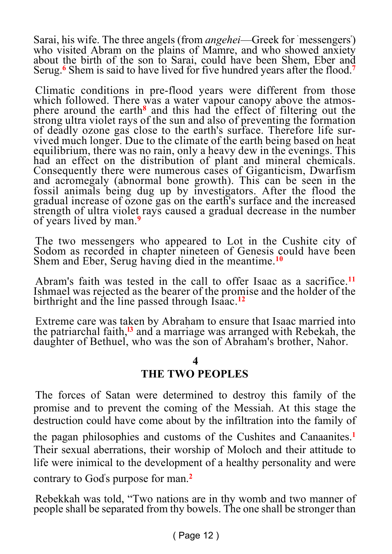Sarai, his wife. The three angels (from *angehei*—Greek for `messengers' ) who visited Abram on the plains of Mamre, and who showed anxiety about the birth of the son to Sarai, could have been Shem, Eber and Serug.**<sup>6</sup>** Shem is said to have lived for five hundred years after the flood.**<sup>7</sup>**

Climatic conditions in pre-flood years were different from those which followed. There was a water vapour canopy above the atmosphere around the earth**<sup>8</sup>** and this had the effect of filtering out the strong ultra violet rays of the sun and also of preventing the formation of deadly ozone gas close to the earth's surface. Therefore life survived much longer. Due to the climate of the earth being based on heat equilibrium, there was no rain, only a heavy dew in the evenings. This had an effect on the distribution of plant and mineral chemicals. Consequently there were numerous cases of Giganticism, Dwarfism and acromegaly (abnormal bone growth). This can be seen in the fossil animals being dug up by investigators. After the flood the gradual increase of ozone gas on the earth's surface and the increased strength of ultra violet rays caused a gradual decrease in the number of years lived by man.**<sup>9</sup>**

The two messengers who appeared to Lot in the Cushite city of Sodom as recorded in chapter nineteen of Genesis could have been Shem and Eber, Serug having died in the meantime.**<sup>10</sup>**

Abram's faith was tested in the call to offer Isaac as a sacrifice.**<sup>11</sup>** Ishmael was rejected as the bearer of the promise and the holder of the birthright and the line passed through Isaac.**<sup>12</sup>**

Extreme care was taken by Abraham to ensure that Isaac married into the patriarchal faith,**l3** and a marriage was arranged with Rebekah, the daughter of Bethuel, who was the son of Abraham's brother, Nahor.

#### **4 THE TWO PEOPLES**

The forces of Satan were determined to destroy this family of the promise and to prevent the coming of the Messiah. At this stage the destruction could have come about by the infiltration into the family of the pagan philosophies and customs of the Cushites and Canaanites.**<sup>1</sup>** Their sexual aberrations, their worship of Moloch and their attitude to life were inimical to the development of a healthy personality and were

contrary to God' s purpose for man.**<sup>2</sup>**

Rebekkah was told, "Two nations are in thy womb and two manner of people shall be separated from thy bowels. The one shall be stronger than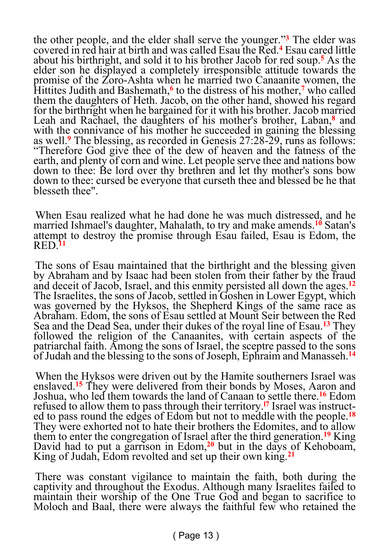the other people, and the elder shall serve the younger."**<sup>3</sup>** The elder was covered in red hair at birth and was called Esau the Red.**<sup>4</sup>** Esau cared little about his birthright, and sold it to his brother Jacob for red soup.**<sup>5</sup>** As the elder son he displayed a completely irresponsible attitude towards the promise of the Zoro-Ashta when he married two Canaanite women, the Hittites Judith and Bashemath,**<sup>6</sup>** to the distress of his mother,**<sup>7</sup>** who called them the daughters of Heth. Jacob, on the other hand, showed his regard for the birthright when he bargained for it with his brother. Jacob married Leah and Rachael, the daughters of his mother's brother, Laban,**<sup>8</sup>** and with the connivance of his mother he succeeded in gaining the blessing as well.**<sup>9</sup>** The blessing, as recorded in Genesis 27:28-29, runs as follows: "Therefore God give thee of the dew of heaven and the fatness of the earth, and plenty of corn and wine. Let people serve thee and nations bow down to thee: Be lord over thy brethren and let thy mother's sons bow down to thee: cursed be everyone that curseth thee and blessed be he that blesseth thee".

When Esau realized what he had done he was much distressed, and he married Ishmael's daughter, Mahalath, to try and make amends.**<sup>10</sup>** Satan's attempt to destroy the promise through Esau failed, Esau is Edom, the RED.**<sup>11</sup>**

The sons of Esau maintained that the birthright and the blessing given by Abraham and by Isaac had been stolen from their father by the fraud and deceit of Jacob, Israel, and this enmity persisted all down the ages.**<sup>12</sup>** The Israelites, the sons of Jacob, settled in Goshen in Lower Egypt, which was governed by the Hyksos, the Shepherd Kings of the same race as Abraham. Edom, the sons of Esau settled at Mount Seir between the Red Sea and the Dead Sea, under their dukes of the royal line of Esau.**<sup>13</sup>** They followed the religion of the Canaanites, with certain aspects of the patriarchal faith. Among the sons of Israel, the sceptre passed to the sons of Judah and the blessing to the sons of Joseph, Ephraim and Manasseh.**<sup>14</sup>**

When the Hyksos were driven out by the Hamite southerners Israel was enslaved.**<sup>15</sup>** They were delivered from their bonds by Moses, Aaron and Joshua, who led them towards the land of Canaan to settle there.**<sup>16</sup>** Edom refused to allow them to pass through their territory.**l7** Israel was instructed to pass round the edges of Edom but not to meddle with the people.**<sup>18</sup>** They were exhorted not to hate their brothers the Edomites, and to allow them to enter the congregation of Israel after the third generation.**<sup>19</sup>** King David had to put a garrison in Edom,**<sup>20</sup>** but in the days of Kehoboam, King of Judah, Edom revolted and set up their own king.**<sup>21</sup>**

There was constant vigilance to maintain the faith, both during the captivity and throughout the Exodus. Although many Israelites failed to maintain their worship of the One True God and began to sacrifice to Moloch and Baal, there were always the faithful few who retained the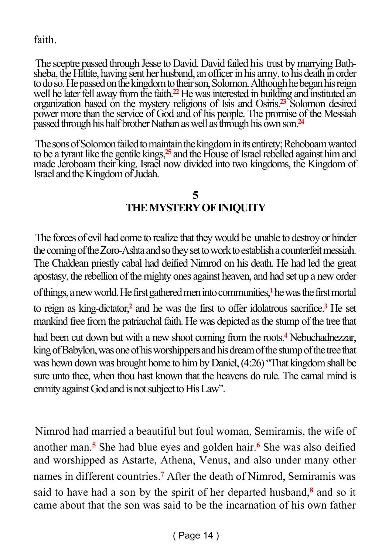faith.

The sceptre passed through Jesse to David. David failed his trust by marrying Bathsheba, the Hittite, having sent her husband, an officer in his army, to his death in order to do so. He passed on the kingdom to their son, Solomon. Although he began his reign well he later fell away from the faith.**<sup>22</sup>** He was interested in building and instituted an organization based on the mystery religions of Isis and Osiris.**<sup>23</sup>** Solomon desired power more than the service of God and of his people. The promise of the Messiah passed through his half brother Nathan as well as through his own son.**<sup>24</sup>**

The sons of Solomon failed to maintain the kingdom in its entirety; Rehoboam wanted to be a tyrant like the gentile kings,**<sup>25</sup>** and the House of Israel rebelled against him and made Jeroboam their king. Israel now divided into two kingdoms, the Kingdom of Israel and the Kingdom of Judah.

#### **5 THE MYSTERY OF INIQUITY**

The forces of evil had come to realize that they would be unable to destroy or hinder the coming of the Zoro-Ashta and so they set to work to establish a counterfeit messiah. The Chaldean priestly cabal had deified Nimrod on his death. He had led the great apostasy, the rebellion of the mighty ones against heaven, and had set up a new order of things, a new world. He first gathered men into communities,**<sup>1</sup>** he was the first mortal to reign as king-dictator,**<sup>2</sup>** and he was the first to offer idolatrous sacrifice.**<sup>3</sup>** He set mankind free from the patriarchal faith. He was depicted as the stump of the tree that had been cut down but with a new shoot coming from the roots.**<sup>4</sup>** Nebuchadnezzar, king of Babylon, was one of his worshippers and his dream of the stump of the tree that was hewn down was brought home to him by Daniel, (4:26) "That kingdom shall be sure unto thee, when thou hast known that the heavens do rule. The carnal mind is enmity against God and is not subject to His Law".

Nimrod had married a beautiful but foul woman, Semiramis, the wife of another man.**<sup>5</sup>** She had blue eyes and golden hair.**<sup>6</sup>** She was also deified and worshipped as Astarte, Athena, Venus, and also under many other names in different countries.**<sup>7</sup>** After the death of Nimrod, Semiramis was said to have had a son by the spirit of her departed husband,**<sup>8</sup>** and so it came about that the son was said to be the incarnation of his own father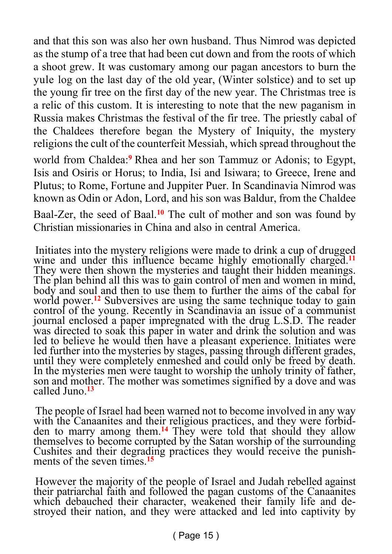and that this son was also her own husband. Thus Nimrod was depicted as the stump of a tree that had been cut down and from the roots of which a shoot grew. It was customary among our pagan ancestors to burn the yule log on the last day of the old year, (Winter solstice) and to set up the young fir tree on the first day of the new year. The Christmas tree is a relic of this custom. It is interesting to note that the new paganism in Russia makes Christmas the festival of the fir tree. The priestly cabal of the Chaldees therefore began the Mystery of Iniquity, the mystery religions the cult of the counterfeit Messiah, which spread throughout the world from Chaldea:**<sup>9</sup>** Rhea and her son Tammuz or Adonis; to Egypt, Isis and Osiris or Horus; to India, Isi and Isiwara; to Greece, Irene and Plutus; to Rome, Fortune and Juppiter Puer. In Scandinavia Nimrod was known as Odin or Adon, Lord, and his son was Baldur, from the Chaldee Baal-Zer, the seed of Baal.**<sup>10</sup>** The cult of mother and son was found by

Christian missionaries in China and also in central America.

Initiates into the mystery religions were made to drink a cup of drugged wine and under this influence became highly emotionally charged.<sup>11</sup> They were then shown the mysteries and taught their hidden meanings. The plan behind all this was to gain control of men and women in mind, body and soul and then to use them to further the aims of the cabal for world power.**<sup>12</sup>** Subversives are using the same technique today to gain control of the young. Recently in Scandinavia an issue of a communist journal enclosed a paper impregnated with the drug L.S.D. The reader was directed to soak this paper in water and drink the solution and was led to believe he would then have a pleasant experience. Initiates were led further into the mysteries by stages, passing through different grades, until they were completely enmeshed and could only be freed by death. In the mysteries men were taught to worship the unholy trinity of father, son and mother. The mother was sometimes signified by a dove and was called Juno.**<sup>13</sup>**

The people of Israel had been warned not to become involved in any way with the Canaanites and their religious practices, and they were forbidden to marry among them.**<sup>14</sup>** They were told that should they allow themselves to become corrupted by the Satan worship of the surrounding Cushites and their degrading practices they would receive the punishments of the seven times.<sup>15</sup>

However the majority of the people of Israel and Judah rebelled against their patriarchal faith and followed the pagan customs of the Canaanites which debauched their character, weakened their family life and destroyed their nation, and they were attacked and led into captivity by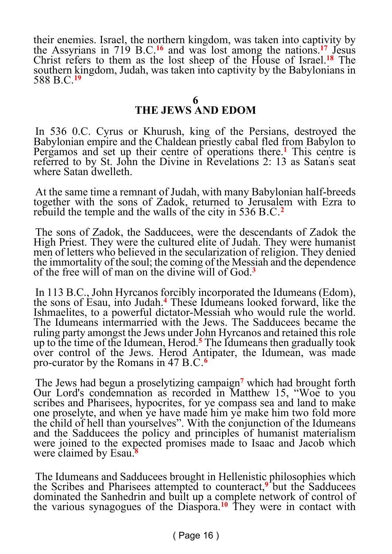their enemies. Israel, the northern kingdom, was taken into captivity by the Assyrians in 719 B.C.**<sup>16</sup>** and was lost among the nations.**<sup>17</sup>** Jesus Christ refers to them as the lost sheep of the House of Israel.**<sup>18</sup>** The southern kingdom, Judah, was taken into captivity by the Babylonians in 588 B.C.**<sup>19</sup>**

#### **THE JEWS AND EDOM**

In 536 0.C. Cyrus or Khurush, king of the Persians, destroyed the Babylonian empire and the Chaldean priestly cabal fled from Babylon to Pergamos and set up their centre of operations there.**<sup>1</sup>** This centre is referred to by St. John the Divine in Revelations 2: 13 as Satan's seat where Satan dwelleth.

At the same time a remnant of Judah, with many Babylonian half-breeds together with the sons of Zadok, returned to Jerusalem with Ezra to rebuild the temple and the walls of the city in 536 B.C.**<sup>2</sup>**

The sons of Zadok, the Sadducees, were the descendants of Zadok the High Priest. They were the cultured elite of Judah. They were humanist men of letters who believed in the secularization of religion. They denied the immortality of the soul; the coming of the Messiah and the dependence of the free will of man on the divine will of God.**<sup>3</sup>**

In 113 B.C., John Hyrcanos forcibly incorporated the Idumeans (Edom), the sons of Esau, into Judah.**<sup>4</sup>** These Idumeans looked forward, like the Ishmaelites, to a powerful dictator-Messiah who would rule the world. The Idumeans intermarried with the Jews. The Sadducees became the ruling party amongst the Jews under John Hyrcanos and retained this role up to the time of the Idumean, Herod.**<sup>5</sup>** The Idumeans then gradually took over control of the Jews. Herod Antipater, the Idumean, was made pro-curator by the Romans in 47 B.C.**<sup>6</sup>**

The Jews had begun a proselytizing campaign**<sup>7</sup>** which had brought forth Our Lord's condemnation as recorded in Matthew 15, "Woe to you scribes and Pharisees, hypocrites, for ye compass sea and land to make one proselyte, and when ye have made him ye make him two fold more the child of hell than yourselves". With the conjunction of the Idumeans and the Sadducees the policy and principles of humanist materialism were joined to the expected promises made to Isaac and Jacob which were claimed by Esau.**<sup>8</sup>**

The Idumeans and Sadducees brought in Hellenistic philosophies which the Scribes and Pharisees attempted to counteract,<sup>9</sup> but the Sadducees dominated the Sanhedrin and built up a complete network of control of the various synagogues of the Diaspora.**10** They were in contact with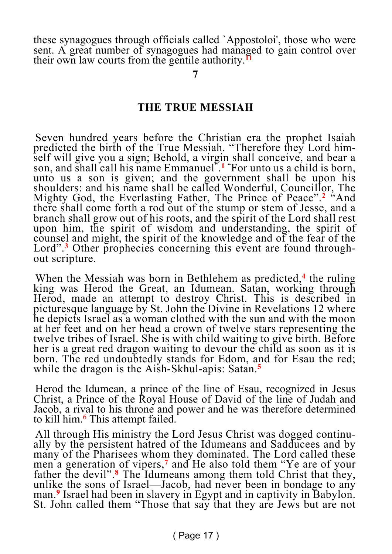these synagogues through officials called `Appostoloi', those who were sent. A great number of synagogues had managed to gain control over their own law courts from the gentile authority.**<sup>11</sup>**

**7**

#### **THE TRUE MESSIAH**

Seven hundred years before the Christian era the prophet Isaiah predicted the birth of the True Messiah. "Therefore they Lord himself will give you a sign; Behold, a virgin shall conceive, and bear a son, and shall call his name Emmanuel" . **<sup>1</sup>** "For unto us a child is born, unto us a son is given; and the government shall be upon his shoulders: and his name shall be called Wonderful, Councillor, The Mighty God, the Everlasting Father, The Prince of Peace".**<sup>2</sup>** "And there shall come forth a rod out of the stump or stem of Jesse, and a branch shall grow out of his roots, and the spirit of the Lord shall rest upon him, the spirit of wisdom and understanding, the spirit of counsel and might, the spirit of the knowledge and of the fear of the Lord".<sup>3</sup> Other prophecies concerning this event are found throughout scripture.

When the Messiah was born in Bethlehem as predicted,**<sup>4</sup>** the ruling king was Herod the Great, an Idumean. Satan, working through Herod, made an attempt to destroy Christ. This is described in picturesque language by St. John the Divine in Revelations 12 where he depicts Israel as a woman clothed with the sun and with the moon at her feet and on her head a crown of twelve stars representing the twelve tribes of Israel. She is with child waiting to give birth. Before her is a great red dragon waiting to devour the child as soon as it is born. The red undoubtedly stands for Edom, and for Esau the red; while the dragon is the Aish-Skhul-apis: Satan.**<sup>5</sup>**

Herod the Idumean, a prince of the line of Esau, recognized in Jesus Christ, a Prince of the Royal House of David of the line of Judah and Jacob, a rival to his throne and power and he was therefore determined to kill him.<sup>6</sup> This attempt failed.

All through His ministry the Lord Jesus Christ was dogged continually by the persistent hatred of the Idumeans and Sadducees and by many of the Pharisees whom they dominated. The Lord called these men a generation of vipers,<sup>7</sup> and He also told them "Ye are of your father the devil".**<sup>8</sup>** The Idumeans among them told Christ that they, unlike the sons of Israel—Jacob, had never been in bondage to any man.**<sup>9</sup>** Israel had been in slavery in Egypt and in captivity in Babylon. St. John called them "Those that say that they are Jews but are not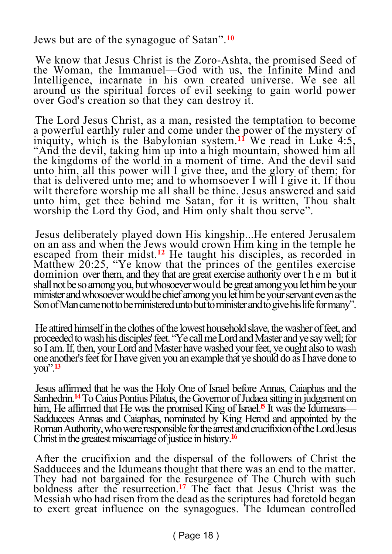Jews but are of the synagogue of Satan".**<sup>10</sup>**

We know that Jesus Christ is the Zoro-Ashta, the promised Seed of the Woman, the Immanuel—God with us, the Infinite Mind and Intelligence, incarnate in his own created universe. We see all around us the spiritual forces of evil seeking to gain world power over God's creation so that they can destroy it.

The Lord Jesus Christ, as a man, resisted the temptation to become a powerful earthly ruler and come under the power of the mystery of iniquity, which is the Babylonian system.**<sup>11</sup>** We read in Luke 4:5, "And the devil, taking him up into a high mountain, showed him all the kingdoms of the world in a moment of time. And the devil said unto him, all this power will I give thee, and the glory of them; for that is delivered unto me; and to whomsoever I will I give it. If thou wilt therefore worship me all shall be thine. Jesus answered and said unto him, get thee behind me Satan, for it is written, Thou shalt worship the Lord thy God, and Him only shalt thou serve".

Jesus deliberately played down His kingship...He entered Jerusalem on an ass and when the Jews would crown Him king in the temple he escaped from their midst.**<sup>12</sup>** He taught his disciples, as recorded in Matthew 20:25, "Ye know that the princes of the gentiles exercise dominion over them, and they that are great exercise authority over t h e m but it shall not be so among you, but whosoever would be great among you let him be your minister and whosoever would be chief among you let him be your servant even as the Son of Man came not to be ministered unto but to minister and to give his life for many".

He attired himself in the clothes of the lowest household slave, the washer of feet, and proceeded to wash his disciples' feet. "Ye call me Lord and Master and ye say well; for so I am. If, then, your Lord and Master have washed your feet, ye ought also to wash one another's feet for I have given you an example that ye should do as I have done to you".**<sup>13</sup>**

Jesus affirmed that he was the Holy One of Israel before Annas, Caiaphas and the Sanhedrin.**<sup>14</sup>** To Caius Pontius Pilatus, the Governor of Judaea sitting in judgement on him, He affirmed that He was the promised King of Israel.<sup>5</sup> It was the Idumeans— Sadducees Annas and Caiaphas, nominated by King Herod and appointed by the Roman Authority, who were responsible for the arrest and crucifixion of the Lord Jesus Christ in the greatest miscarriage of justice in history.**<sup>16</sup>**

After the crucifixion and the dispersal of the followers of Christ the Sadducees and the Idumeans thought that there was an end to the matter. They had not bargained for the resurgence of The Church with such boldness after the resurrection.**<sup>17</sup>** The fact that Jesus Christ was the Messiah who had risen from the dead as the scriptures had foretold began to exert great influence on the synagogues. The Idumean controlled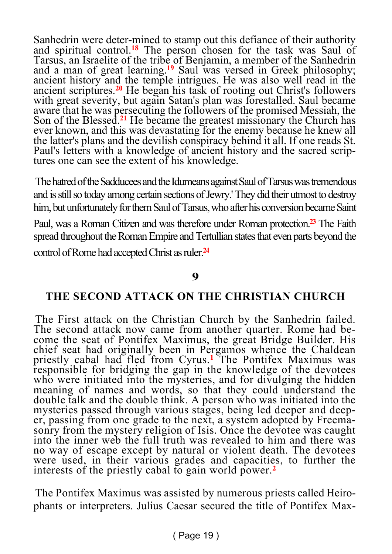Sanhedrin were deter-mined to stamp out this defiance of their authority and spiritual control.<sup>18</sup> The person chosen for the task was Saul of Tarsus, an Israelite of the tribe of Benjamin, a member of the Sanhedrin and a man of great learning.**<sup>19</sup>** Saul was versed in Greek philosophy; ancient history and the temple intrigues. He was also well read in the ancient scriptures.**<sup>20</sup>** He began his task of rooting out Christ's followers with great severity, but again Satan's plan was forestalled. Saul became aware that he was persecuting the followers of the promised Messiah, the Son of the Blessed.**<sup>21</sup>** He became the greatest missionary the Church has ever known, and this was devastating for the enemy because he knew all the latter's plans and the devilish conspiracy behind it all. If one reads St. Paul's letters with a knowledge of ancient history and the sacred scriptures one can see the extent of his knowledge.

The hatred of the Sadducees and the Idumeans against Saul of Tarsus was tremendous and is still so today among certain sections of Jewry.' They did their utmost to destroy him, but unfortunately for them Saul of Tarsus, who after his conversion became Saint

Paul, was a Roman Citizen and was therefore under Roman protection.**<sup>23</sup>** The Faith spread throughout the Roman Empire and Tertullian states that even parts beyond the control of Rome had accepted Christ as ruler.**<sup>24</sup>**

#### **9**

#### **THE SECOND ATTACK ON THE CHRISTIAN CHURCH**

The First attack on the Christian Church by the Sanhedrin failed. The second attack now came from another quarter. Rome had become the seat of Pontifex Maximus, the great Bridge Builder. His chief seat had originally been in Pergamos whence the Chaldean priestly cabal had fled from Cyrus.**<sup>1</sup>** The Pontifex Maximus was responsible for bridging the gap in the knowledge of the devotees who were initiated into the mysteries, and for divulging the hidden meaning of names and words, so that they could understand the double talk and the double think. A person who was initiated into the mysteries passed through various stages, being led deeper and deeper, passing from one grade to the next, a system adopted by Freemasonry from the mystery religion of Isis. Once the devotee was caught into the inner web the full truth was revealed to him and there was no way of escape except by natural or violent death. The devotees were used, in their various grades and capacities, to further the interests of the priestly cabal to gain world power.**<sup>2</sup>**

The Pontifex Maximus was assisted by numerous priests called Heirophants or interpreters. Julius Caesar secured the title of Pontifex Max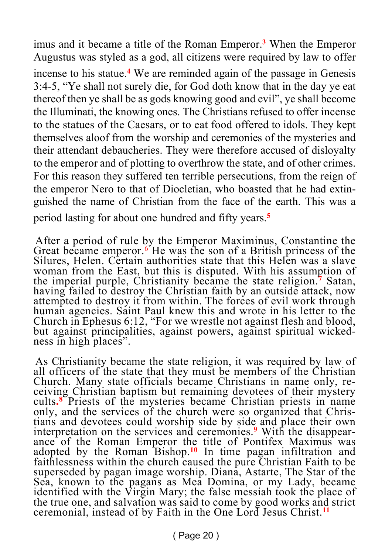imus and it became a title of the Roman Emperor.**<sup>3</sup>** When the Emperor Augustus was styled as a god, all citizens were required by law to offer incense to his statue.**<sup>4</sup>** We are reminded again of the passage in Genesis 3:4-5, "Ye shall not surely die, for God doth know that in the day ye eat thereof then ye shall be as gods knowing good and evil", ye shall become the Illuminati, the knowing ones. The Christians refused to offer incense to the statues of the Caesars, or to eat food offered to idols. They kept themselves aloof from the worship and ceremonies of the mysteries and their attendant debaucheries. They were therefore accused of disloyalty to the emperor and of plotting to overthrow the state, and of other crimes. For this reason they suffered ten terrible persecutions, from the reign of the emperor Nero to that of Diocletian, who boasted that he had extinguished the name of Christian from the face of the earth. This was a period lasting for about one hundred and fifty years.**<sup>5</sup>**

After a period of rule by the Emperor Maximinus, Constantine the Great became emperor.<sup>6</sup> He was the son of a British princess of the Silures, Helen. Certain authorities state that this Helen was a slave woman from the East, but this is disputed. With his assumption of the imperial purple, Christianity became the state religion.**<sup>7</sup>** Satan, having failed to destroy the Christian faith by an outside attack, now attempted to destroy it from within. The forces of evil work through human agencies. Saint Paul knew this and wrote in his letter to the Church in Ephesus 6:12, "For we wrestle not against flesh and blood, but against principalities, against powers, against spiritual wickedness in high places".

As Christianity became the state religion, it was required by law of all officers of the state that they must be members of the Christian Church. Many state officials became Christians in name only, receiving Christian baptism but remaining devotees of their mystery cults**. 8** Priests of the mysteries became Christian priests in name only, and the services of the church were so organized that Christians and devotees could worship side by side and place their own interpretation on the services and ceremonies.**<sup>9</sup>** With the disappearance of the Roman Emperor the title of Pontifex Maximus was adopted by the Roman Bishop.**<sup>10</sup>** In time pagan infiltration and faithlessness within the church caused the pure Christian Faith to be superseded by pagan image worship. Diana, Astarte, The Star of the Sea, known to the pagans as Mea Domina, or my Lady, became identified with the Virgin Mary; the false messiah took the place of the true one, and salvation was said to come by good works and strict ceremonial, instead of by Faith in the One Lord Jesus Christ.**11**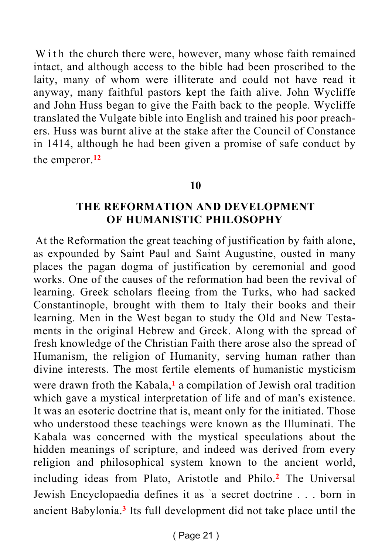W i th the church there were, however, many whose faith remained intact, and although access to the bible had been proscribed to the laity, many of whom were illiterate and could not have read it anyway, many faithful pastors kept the faith alive. John Wycliffe and John Huss began to give the Faith back to the people. Wycliffe translated the Vulgate bible into English and trained his poor preachers. Huss was burnt alive at the stake after the Council of Constance in 1414, although he had been given a promise of safe conduct by the emperor.**<sup>12</sup>**

#### **10**

#### **THE REFORMATION AND DEVELOPMENT OF HUMANISTIC PHILOSOPHY**

At the Reformation the great teaching of justification by faith alone, as expounded by Saint Paul and Saint Augustine, ousted in many places the pagan dogma of justification by ceremonial and good works. One of the causes of the reformation had been the revival of learning. Greek scholars fleeing from the Turks, who had sacked Constantinople, brought with them to Italy their books and their learning. Men in the West began to study the Old and New Testaments in the original Hebrew and Greek. Along with the spread of fresh knowledge of the Christian Faith there arose also the spread of Humanism, the religion of Humanity, serving human rather than divine interests. The most fertile elements of humanistic mysticism were drawn froth the Kabala,<sup>1</sup> a compilation of Jewish oral tradition which gave a mystical interpretation of life and of man's existence. It was an esoteric doctrine that is, meant only for the initiated. Those who understood these teachings were known as the Illuminati. The Kabala was concerned with the mystical speculations about the hidden meanings of scripture, and indeed was derived from every religion and philosophical system known to the ancient world, including ideas from Plato, Aristotle and Philo.**<sup>2</sup>** The Universal Jewish Encyclopaedia defines it as `a secret doctrine . . . born in ancient Babylonia.**<sup>3</sup>** Its full development did not take place until the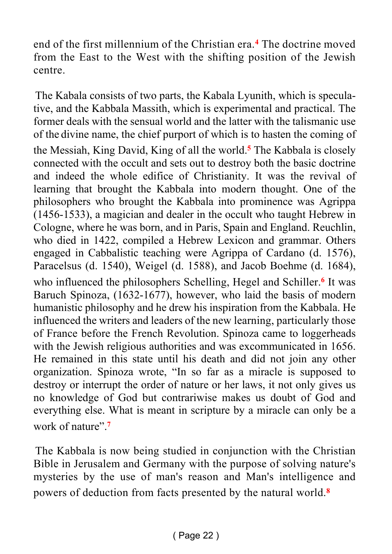end of the first millennium of the Christian era.**<sup>4</sup>** The doctrine moved from the East to the West with the shifting position of the Jewish centre.

The Kabala consists of two parts, the Kabala Lyunith, which is speculative, and the Kabbala Massith, which is experimental and practical. The former deals with the sensual world and the latter with the talismanic use of the divine name, the chief purport of which is to hasten the coming of the Messiah, King David, King of all the world.**<sup>5</sup>** The Kabbala is closely connected with the occult and sets out to destroy both the basic doctrine and indeed the whole edifice of Christianity. It was the revival of learning that brought the Kabbala into modern thought. One of the philosophers who brought the Kabbala into prominence was Agrippa (1456-1533), a magician and dealer in the occult who taught Hebrew in Cologne, where he was born, and in Paris, Spain and England. Reuchlin, who died in 1422, compiled a Hebrew Lexicon and grammar. Others engaged in Cabbalistic teaching were Agrippa of Cardano (d. 1576), Paracelsus (d. 1540), Weigel (d. 1588), and Jacob Boehme (d. 1684), who influenced the philosophers Schelling, Hegel and Schiller.**<sup>6</sup>** It was Baruch Spinoza, (1632-1677), however, who laid the basis of modern humanistic philosophy and he drew his inspiration from the Kabbala. He influenced the writers and leaders of the new learning, particularly those of France before the French Revolution. Spinoza came to loggerheads with the Jewish religious authorities and was excommunicated in 1656. He remained in this state until his death and did not join any other organization. Spinoza wrote, "In so far as a miracle is supposed to destroy or interrupt the order of nature or her laws, it not only gives us no knowledge of God but contrariwise makes us doubt of God and everything else. What is meant in scripture by a miracle can only be a work of nature".**<sup>7</sup>**

The Kabbala is now being studied in conjunction with the Christian Bible in Jerusalem and Germany with the purpose of solving nature's mysteries by the use of man's reason and Man's intelligence and powers of deduction from facts presented by the natural world.**8**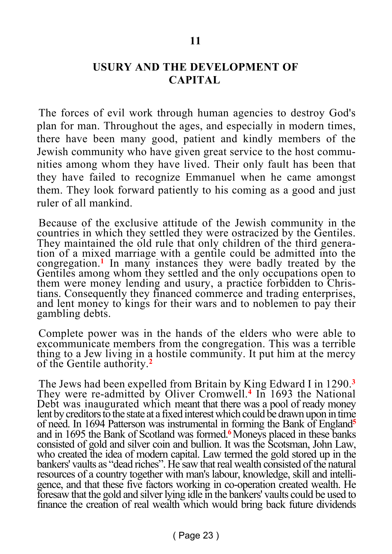#### **USURY AND THE DEVELOPMENT OF CAPITAL**

The forces of evil work through human agencies to destroy God's plan for man. Throughout the ages, and especially in modern times, there have been many good, patient and kindly members of the Jewish community who have given great service to the host communities among whom they have lived. Their only fault has been that they have failed to recognize Emmanuel when he came amongst them. They look forward patiently to his coming as a good and just ruler of all mankind.

Because of the exclusive attitude of the Jewish community in the countries in which they settled they were ostracized by the Gentiles. They maintained the old rule that only children of the third generation of a mixed marriage with a gentile could be admitted into the congregation.**<sup>1</sup>** In many instances they were badly treated by the Gentiles among whom they settled and the only occupations open to them were money lending and usury, a practice forbidden to Christians. Consequently they financed commerce and trading enterprises, and lent money to kings for their wars and to noblemen to pay their gambling debts.

Complete power was in the hands of the elders who were able to excommunicate members from the congregation. This was a terrible thing to a Jew living in a hostile community. It put him at the mercy of the Gentile authority.**<sup>2</sup>**

The Jews had been expelled from Britain by King Edward I in 1290.**<sup>3</sup>** They were re-admitted by Oliver Cromwell.**<sup>4</sup>** In 1693 the National Debt was inaugurated which meant that there was a pool of ready money lent by creditors to the state at a fixed interest which could be drawn upon in time of need. In 1694 Patterson was instrumental in forming the Bank of England**<sup>5</sup>** and in 1695 the Bank of Scotland was formed.**<sup>6</sup>**Moneys placed in these banks consisted of gold and silver coin and bullion. It was the Scotsman, John Law, who created the idea of modern capital. Law termed the gold stored up in the bankers' vaults as "dead riches". He saw that real wealth consisted of the natural resources of a country together with man's labour, knowledge, skill and intelligence, and that these five factors working in co-operation created wealth. He foresaw that the gold and silver lying idle in the bankers' vaults could be used to finance the creation of real wealth which would bring back future dividends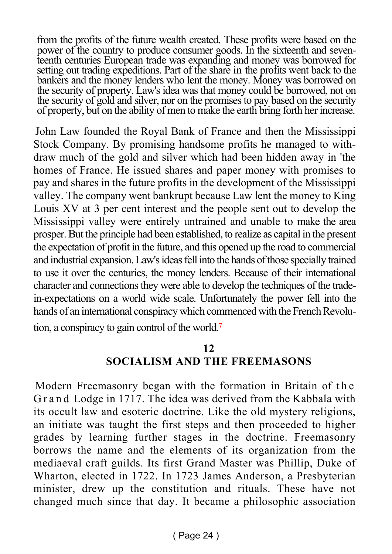from the profits of the future wealth created. These profits were based on the power of the country to produce consumer goods. In the sixteenth and seventeenth centuries European trade was expanding and money was borrowed for setting out trading expeditions. Part of the share in the profits went back to the bankers and the money lenders who lent the money. Money was borrowed on the security of property. Law's idea was that money could be borrowed, not on the security of gold and silver, nor on the promises to pay based on the security of property, but on the ability of men to make the earth bring forth her increase.

John Law founded the Royal Bank of France and then the Mississippi Stock Company. By promising handsome profits he managed to withdraw much of the gold and silver which had been hidden away in 'the homes of France. He issued shares and paper money with promises to pay and shares in the future profits in the development of the Mississippi valley. The company went bankrupt because Law lent the money to King Louis XV at 3 per cent interest and the people sent out to develop the Mississippi valley were entirely untrained and unable to make the area prosper. But the principle had been established, to realize as capital in the present the expectation of profit in the future, and this opened up the road to commercial and industrial expansion. Law's ideas fell into the hands of those specially trained to use it over the centuries, the money lenders. Because of their international character and connections they were able to develop the techniques of the tradein-expectations on a world wide scale. Unfortunately the power fell into the hands of an international conspiracy which commenced with the French Revolu-

tion, a conspiracy to gain control of the world.**<sup>7</sup>**

#### **12**

#### **SOCIALISM AND THE FREEMASONS**

Modern Freemasonry began with the formation in Britain of the Grand Lodge in 1717. The idea was derived from the Kabbala with its occult law and esoteric doctrine. Like the old mystery religions, an initiate was taught the first steps and then proceeded to higher grades by learning further stages in the doctrine. Freemasonry borrows the name and the elements of its organization from the mediaeval craft guilds. Its first Grand Master was Phillip, Duke of Wharton, elected in 1722. In 1723 James Anderson, a Presbyterian minister, drew up the constitution and rituals. These have not changed much since that day. It became a philosophic association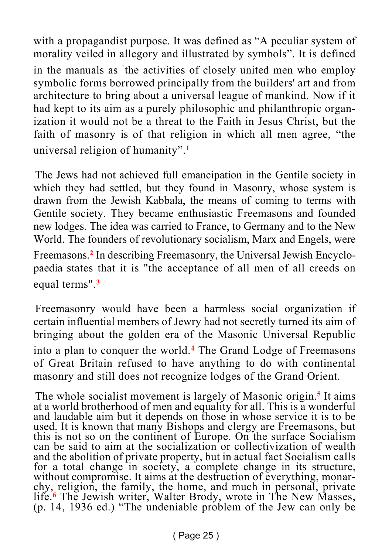with a propagandist purpose. It was defined as "A peculiar system of morality veiled in allegory and illustrated by symbols". It is defined in the manuals as ` the activities of closely united men who employ symbolic forms borrowed principally from the builders' art and from architecture to bring about a universal league of mankind. Now if it had kept to its aim as a purely philosophic and philanthropic organization it would not be a threat to the Faith in Jesus Christ, but the faith of masonry is of that religion in which all men agree, "the universal religion of humanity".**<sup>1</sup>**

The Jews had not achieved full emancipation in the Gentile society in which they had settled, but they found in Masonry, whose system is drawn from the Jewish Kabbala, the means of coming to terms with Gentile society. They became enthusiastic Freemasons and founded new lodges. The idea was carried to France, to Germany and to the New World. The founders of revolutionary socialism, Marx and Engels, were Freemasons.**<sup>2</sup>** In describing Freemasonry, the Universal Jewish Encyclopaedia states that it is "the acceptance of all men of all creeds on equal terms".**<sup>3</sup>**

Freemasonry would have been a harmless social organization if certain influential members of Jewry had not secretly turned its aim of bringing about the golden era of the Masonic Universal Republic into a plan to conquer the world.**<sup>4</sup>** The Grand Lodge of Freemasons of Great Britain refused to have anything to do with continental masonry and still does not recognize lodges of the Grand Orient.

The whole socialist movement is largely of Masonic origin.**<sup>5</sup>** It aims at a world brotherhood of men and equality for all. This is a wonderful and laudable aim but it depends on those in whose service it is to be used. It is known that many Bishops and clergy are Freemasons, but this is not so on the continent of Europe. On the surface Socialism can be said to aim at the socialization or collectivization of wealth and the abolition of private property, but in actual fact Socialism calls for a total change in society, a complete change in its structure, without compromise. It aims at the destruction of everything, monarchy, religion, the family, the home, and much in personal, private life.**<sup>6</sup>** The Jewish writer, Walter Brody, wrote in The New Masses, (p. 14, 1936 ed.) "The undeniable problem of the Jew can only be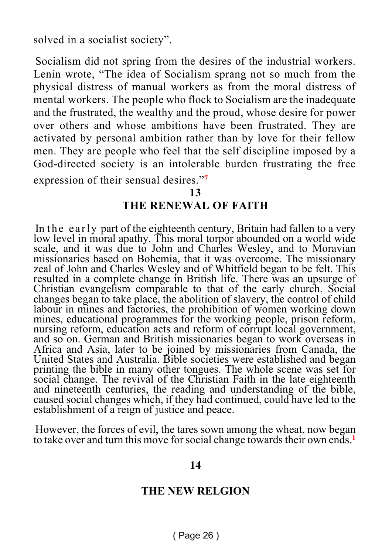solved in a socialist society".

Socialism did not spring from the desires of the industrial workers. Lenin wrote, "The idea of Socialism sprang not so much from the physical distress of manual workers as from the moral distress of mental workers. The people who flock to Socialism are the inadequate and the frustrated, the wealthy and the proud, whose desire for power over others and whose ambitions have been frustrated. They are activated by personal ambition rather than by love for their fellow men. They are people who feel that the self discipline imposed by a God-directed society is an intolerable burden frustrating the free expression of their sensual desires."**<sup>7</sup>**

**13**

#### **THE RENEWAL OF FAITH**

In the early part of the eighteenth century, Britain had fallen to a very low level in moral apathy. This moral torpor abounded on a world wide scale, and it was due to John and Charles Wesley, and to Moravian missionaries based on Bohemia, that it was overcome. The missionary zeal of John and Charles Wesley and of Whitfield began to be felt. This resulted in a complete change in British life. There was an upsurge of Christian evangelism comparable to that of the early church. Social changes began to take place, the abolition of slavery, the control of child labour in mines and factories, the prohibition of women working down mines, educational programmes for the working people, prison reform, nursing reform, education acts and reform of corrupt local government, and so on. German and British missionaries began to work overseas in Africa and Asia, later to be joined by missionaries from Canada, the United States and Australia. Bible societies were established and began printing the bible in many other tongues. The whole scene was set for social change. The revival of the Christian Faith in the late eighteenth and nineteenth centuries, the reading and understanding of the bible, caused social changes which, if they had continued, could have led to the establishment of a reign of justice and peace.

However, the forces of evil, the tares sown among the wheat, now began to take over and turn this move for social change towards their own ends.**<sup>1</sup>**

#### **14**

#### **THE NEW RELGION**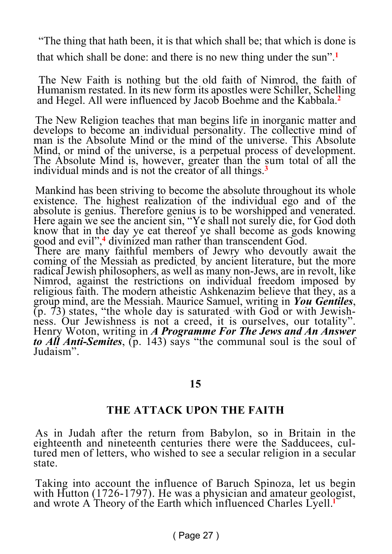"The thing that hath been, it is that which shall be; that which is done is that which shall be done: and there is no new thing under the sun".**<sup>1</sup>**

The New Faith is nothing but the old faith of Nimrod, the faith of Humanism restated. In its new form its apostles were Schiller, Schelling and Hegel. All were influenced by Jacob Boehme and the Kabbala.**<sup>2</sup>**

The New Religion teaches that man begins life in inorganic matter and develops to become an individual personality. The collective mind of man is the Absolute Mind or the mind of the universe. This Absolute Mind, or mind of the universe, is a perpetual process of development. The Absolute Mind is, however, greater than the sum total of all the individual minds and is not the creator of all things.**<sup>3</sup>**

Mankind has been striving to become the absolute throughout its whole existence. The highest realization of the individual ego and of the absolute is genius. Therefore genius is to be worshipped and venerated. Here again we see the ancient sin, "Ye shall not surely die, for God doth know that in the day ye eat thereof ye shall become as gods knowing good and evil",**<sup>4</sup>** divinized man rather than transcendent God.

There are many faithful members of Jewry who devoutly await the coming of the Messiah as predicted, by ancient literature, but the more radical Jewish philosophers, as well as many non-Jews, are in revolt, like Nimrod, against the restrictions on individual freedom imposed by religious faith. The modern atheistic Ashkenazim believe that they, as a group mind, are the Messiah. Maurice Samuel, writing in *You Gentiles*,  $(p, 73)$  states, "the whole day is saturated with God or with Jewishness. Our Jewishness is not a creed, it is ourselves, our totality". Henry Woton, writing in *A Programme For The Jews and An Answer to All Anti-Semites*, (p. 143) says "the communal soul is the soul of Judaism".

#### **15**

#### **THE ATTACK UPON THE FAITH**

As in Judah after the return from Babylon, so in Britain in the eighteenth and nineteenth centuries there were the Sadducees, cultured men of letters, who wished to see a secular religion in a secular state.

Taking into account the influence of Baruch Spinoza, let us begin with Hutton (1726-1797). He was a physician and amateur geologist, and wrote A Theory of the Earth which influenced Charles Lyell.**l**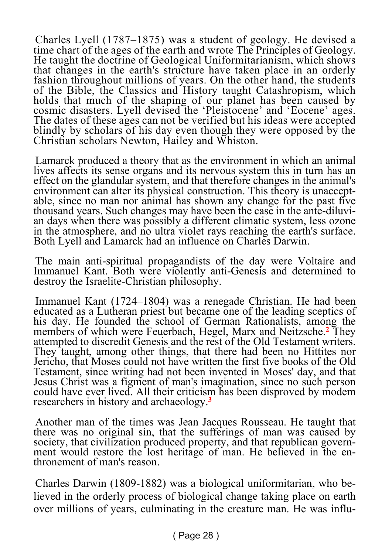Charles Lyell (1787–1875) was a student of geology. He devised a time chart of the ages of the earth and wrote The Principles of Geology. He taught the doctrine of Geological Uniformitarianism, which shows that changes in the earth's structure have taken place in an orderly fashion throughout millions of years. On the other hand, the students of the Bible, the Classics and History taught Catashropism, which holds that much of the shaping of our planet has been caused by cosmic disasters. Lyell devised the 'Pleistocene' and 'Eocene' ages. The dates of these ages can not be verified but his ideas were accepted blindly by scholars of his day even though they were opposed by the Christian scholars Newton, Hailey and Whiston.

Lamarck produced a theory that as the environment in which an animal lives affects its sense organs and its nervous system this in turn has an effect on the glandular system, and that therefore changes in the animal's environment can alter its physical construction. This theory is unacceptable, since no man nor animal has shown any change for the past five thousand years. Such changes may have been the case in the ante-diluvian days when there was possibly a different climatic system, less ozone in the atmosphere, and no ultra violet rays reaching the earth's surface. Both Lyell and Lamarck had an influence on Charles Darwin.

The main anti-spiritual propagandists of the day were Voltaire and Immanuel Kant. Both were violently anti-Genesis and determined to destroy the Israelite-Christian philosophy.

Immanuel Kant (1724–1804) was a renegade Christian. He had been educated as a Lutheran priest but became one of the leading sceptics of his day. He founded the school of German Rationalists, among the members of which were Feuerbach, Hegel, Marx and Neitzsche.**<sup>2</sup>** They attempted to discredit Genesis and the rest of the Old Testament writers. They taught, among other things, that there had been no Hittites nor Jericho, that Moses could not have written the first five books of the Old Testament, since writing had not been invented in Moses' day, and that Jesus Christ was a figment of man's imagination, since no such person could have ever lived. All their criticism has been disproved by modem researchers in history and archaeology.**<sup>3</sup>**

Another man of the times was Jean Jacques Rousseau. He taught that there was no original sin, that the sufferings of man was caused by society, that civilization produced property, and that republican government would restore the lost heritage of man. He believed in the enthronement of man's reason.

Charles Darwin (1809-1882) was a biological uniformitarian, who believed in the orderly process of biological change taking place on earth over millions of years, culminating in the creature man. He was influ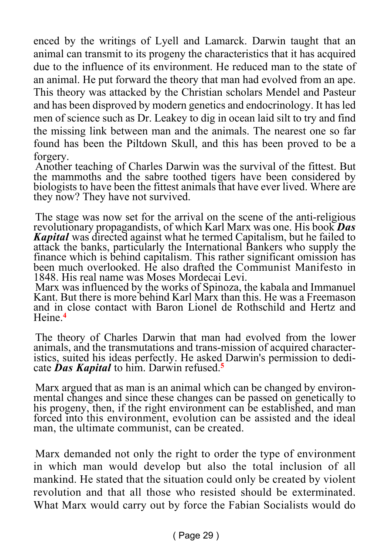enced by the writings of Lyell and Lamarck. Darwin taught that an animal can transmit to its progeny the characteristics that it has acquired due to the influence of its environment. He reduced man to the state of an animal. He put forward the theory that man had evolved from an ape. This theory was attacked by the Christian scholars Mendel and Pasteur and has been disproved by modern genetics and endocrinology. It has led men of science such as Dr. Leakey to dig in ocean laid silt to try and find the missing link between man and the animals. The nearest one so far found has been the Piltdown Skull, and this has been proved to be a forgery.

Another teaching of Charles Darwin was the survival of the fittest. But the mammoths and the sabre toothed tigers have been considered by biologists to have been the fittest animals that have ever lived. Where are they now? They have not survived.

The stage was now set for the arrival on the scene of the anti-religious revolutionary propagandists, of which Karl Marx was one. His book *Das Kapital* was directed against what he termed Capitalism, but he failed to attack the banks, particularly the International Bankers who supply the finance which is behind capitalism. This rather significant omission has been much overlooked. He also drafted the Communist Manifesto in 1848. His real name was Moses Mordecai Levi.

Marx was influenced by the works of Spinoza, the kabala and Immanuel Kant. But there is more behind Karl Marx than this. He was a Freemason and in close contact with Baron Lionel de Rothschild and Hertz and Heine.**<sup>4</sup>**

The theory of Charles Darwin that man had evolved from the lower animals, and the transmutations and trans-mission of acquired characteristics, suited his ideas perfectly. He asked Darwin's permission to dedicate *Das Kapital* to him. Darwin refused.**<sup>5</sup>**

Marx argued that as man is an animal which can be changed by environmental changes and since these changes can be passed on genetically to his progeny, then, if the right environment can be established, and man forced into this environment, evolution can be assisted and the ideal man, the ultimate communist, can be created.

Marx demanded not only the right to order the type of environment in which man would develop but also the total inclusion of all mankind. He stated that the situation could only be created by violent revolution and that all those who resisted should be exterminated. What Marx would carry out by force the Fabian Socialists would do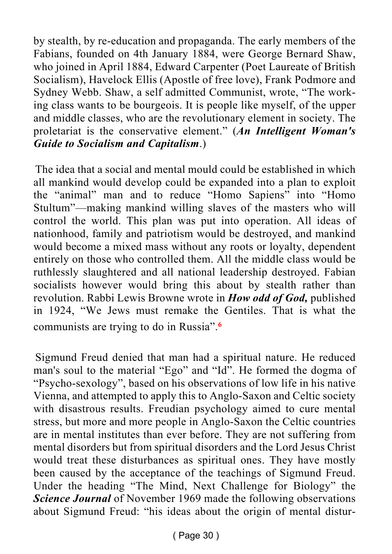by stealth, by re-education and propaganda. The early members of the Fabians, founded on 4th January 1884, were George Bernard Shaw, who joined in April 1884, Edward Carpenter (Poet Laureate of British Socialism), Havelock Ellis (Apostle of free love), Frank Podmore and Sydney Webb. Shaw, a self admitted Communist, wrote, "The working class wants to be bourgeois. It is people like myself, of the upper and middle classes, who are the revolutionary element in society. The proletariat is the conservative element." (*An Intelligent Woman's Guide to Socialism and Capitalism*.)

The idea that a social and mental mould could be established in which all mankind would develop could be expanded into a plan to exploit the "animal" man and to reduce "Homo Sapiens" into "Homo Stultum"—making mankind willing slaves of the masters who will control the world. This plan was put into operation. All ideas of nationhood, family and patriotism would be destroyed, and mankind would become a mixed mass without any roots or loyalty, dependent entirely on those who controlled them. All the middle class would be ruthlessly slaughtered and all national leadership destroyed. Fabian socialists however would bring this about by stealth rather than revolution. Rabbi Lewis Browne wrote in *How odd of God,* published in 1924, "We Jews must remake the Gentiles. That is what the communists are trying to do in Russia".**<sup>6</sup>**

Sigmund Freud denied that man had a spiritual nature. He reduced man's soul to the material "Ego" and "Id". He formed the dogma of "Psycho-sexology", based on his observations of low life in his native Vienna, and attempted to apply this to Anglo-Saxon and Celtic society with disastrous results. Freudian psychology aimed to cure mental stress, but more and more people in Anglo-Saxon the Celtic countries are in mental institutes than ever before. They are not suffering from mental disorders but from spiritual disorders and the Lord Jesus Christ would treat these disturbances as spiritual ones. They have mostly been caused by the acceptance of the teachings of Sigmund Freud. Under the heading "The Mind, Next Challenge for Biology" the *Science Journal* of November 1969 made the following observations about Sigmund Freud: "his ideas about the origin of mental distur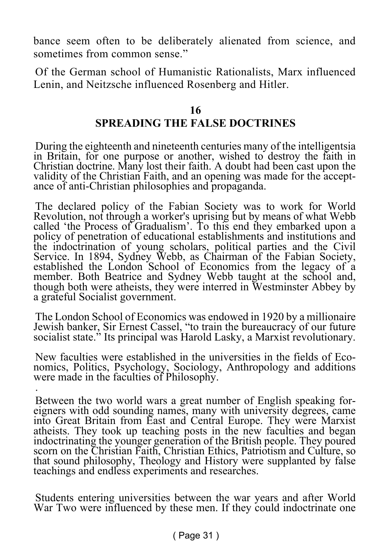bance seem often to be deliberately alienated from science, and sometimes from common sense."

Of the German school of Humanistic Rationalists, Marx influenced Lenin, and Neitzsche influenced Rosenberg and Hitler.

#### **16 SPREADING THE FALSE DOCTRINES**

During the eighteenth and nineteenth centuries many of the intelligentsia in Britain, for one purpose or another, wished to destroy the faith in Christian doctrine. Many lost their faith. A doubt had been cast upon the validity of the Christian Faith, and an opening was made for the acceptance of anti-Christian philosophies and propaganda.

The declared policy of the Fabian Society was to work for World Revolution, not through a worker's uprising but by means of what Webb called 'the Process of Gradualism'. To this end they embarked upon a policy of penetration of educational establishments and institutions and the indoctrination of young scholars, political parties and the Civil Service. In 1894, Sydney Webb, as Chairman of the Fabian Society, established the London School of Economics from the legacy of a member. Both Beatrice and Sydney Webb taught at the school and, though both were atheists, they were interred in Westminster Abbey by a grateful Socialist government.

The London School of Economics was endowed in 1920 by a millionaire Jewish banker, Sir Ernest Cassel, "to train the bureaucracy of our future socialist state." Its principal was Harold Lasky, a Marxist revolutionary.

New faculties were established in the universities in the fields of Economics, Politics, Psychology, Sociology, Anthropology and additions were made in the faculties of Philosophy. .

Between the two world wars a great number of English speaking foreigners with odd sounding names, many with university degrees, came into Great Britain from East and Central Europe. They were Marxist atheists. They took up teaching posts in the new faculties and began indoctrinating the younger generation of the British people. They poured scorn on the Christian Faith, Christian Ethics, Patriotism and Culture, so that sound philosophy, Theology and History were supplanted by false teachings and endless experiments and researches.

Students entering universities between the war years and after World War Two were influenced by these men. If they could indoctrinate one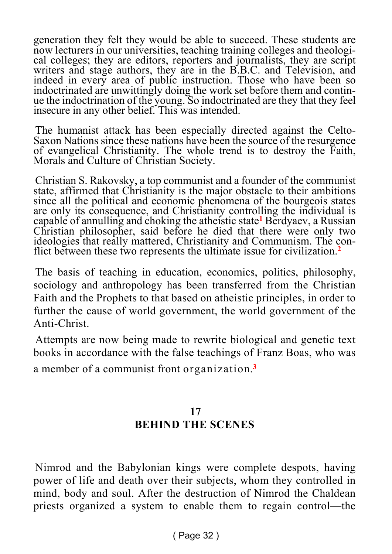generation they felt they would be able to succeed. These students are now lecturers in our universities, teaching training colleges and theological colleges; they are editors, reporters and journalists, they are script writers and stage authors, they are in the B.B.C. and Television, and indeed in every area of public instruction. Those who have been so indoctrinated are unwittingly doing the work set before them and continue the indoctrination of the young. So indoctrinated are they that they feel insecure in any other belief. This was intended.

The humanist attack has been especially directed against the Celto-Saxon Nations since these nations have been the source of the resurgence of evangelical Christianity. The whole trend is to destroy the Faith, Morals and Culture of Christian Society.

Christian S. Rakovsky, a top communist and a founder of the communist state, affirmed that Christianity is the major obstacle to their ambitions since all the political and economic phenomena of the bourgeois states are only its consequence, and Christianity controlling the individual is capable of annulling and choking the atheistic state**<sup>1</sup>** Berdyaev, a Russian Christian philosopher, said before he died that there were only two ideologies that really mattered, Christianity and Communism. The conflict between these two represents the ultimate issue for civilization.**<sup>2</sup>**

The basis of teaching in education, economics, politics, philosophy, sociology and anthropology has been transferred from the Christian Faith and the Prophets to that based on atheistic principles, in order to further the cause of world government, the world government of the Anti-Christ.

Attempts are now being made to rewrite biological and genetic text books in accordance with the false teachings of Franz Boas, who was a member of a communist front organization.**<sup>3</sup>**

#### **17 BEHIND THE SCENES**

Nimrod and the Babylonian kings were complete despots, having power of life and death over their subjects, whom they controlled in mind, body and soul. After the destruction of Nimrod the Chaldean priests organized a system to enable them to regain control—the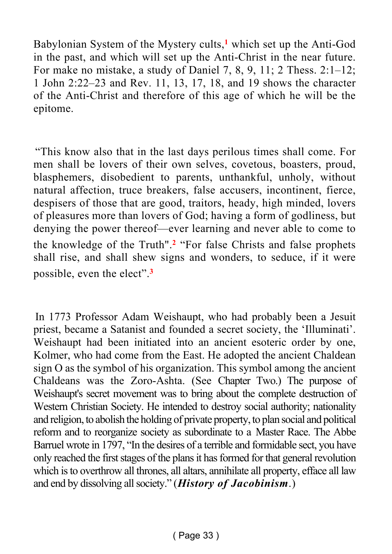Babylonian System of the Mystery cults,**<sup>1</sup>** which set up the Anti-God in the past, and which will set up the Anti-Christ in the near future. For make no mistake, a study of Daniel 7, 8, 9, 11; 2 Thess. 2:1–12; 1 John 2:22–23 and Rev. 11, 13, 17, 18, and 19 shows the character of the Anti-Christ and therefore of this age of which he will be the epitome.

"This know also that in the last days perilous times shall come. For men shall be lovers of their own selves, covetous, boasters, proud, blasphemers, disobedient to parents, unthankful, unholy, without natural affection, truce breakers, false accusers, incontinent, fierce, despisers of those that are good, traitors, heady, high minded, lovers of pleasures more than lovers of God; having a form of godliness, but denying the power thereof—ever learning and never able to come to the knowledge of the Truth".**<sup>2</sup>** "For false Christs and false prophets shall rise, and shall shew signs and wonders, to seduce, if it were possible, even the elect".**<sup>3</sup>**

In 1773 Professor Adam Weishaupt, who had probably been a Jesuit priest, became a Satanist and founded a secret society, the 'Illuminati'. Weishaupt had been initiated into an ancient esoteric order by one, Kolmer, who had come from the East. He adopted the ancient Chaldean sign O as the symbol of his organization. This symbol among the ancient Chaldeans was the Zoro-Ashta. (See Chapter Two.) The purpose of Weishaupt's secret movement was to bring about the complete destruction of Western Christian Society. He intended to destroy social authority; nationality and religion, to abolish the holding of private property, to plan social and political reform and to reorganize society as subordinate to a Master Race. The Abbe Barruel wrote in 1797, "In the desires of a terrible and formidable sect, you have only reached the first stages of the plans it has formed for that general revolution which is to overthrow all thrones, all altars, annihilate all property, efface all law and end by dissolving all society." (*History of Jacobinism*.)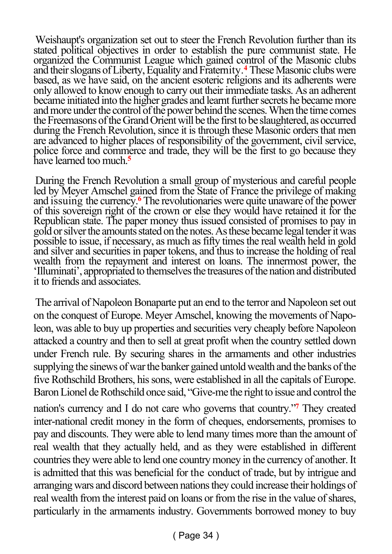Weishaupt's organization set out to steer the French Revolution further than its stated political objectives in order to establish the pure communist state. He organized the Communist League which gained control of the Masonic clubs and their slogans of Liberty, Equality and Fraternity.**<sup>4</sup>** These Masonic clubs were based, as we have said, on the ancient esoteric religions and its adherents were only allowed to know enough to carry out their immediate tasks. As an adherent became initiated into the higher grades and learnt further secrets he became more and more under the control of the power behind the scenes. When the time comes the Freemasons of the Grand Orient will be the first to be slaughtered, as occurred during the French Revolution, since it is through these Masonic orders that men are advanced to higher places of responsibility of the government, civil service, police force and commerce and trade, they will be the first to go because they have learned too much.**<sup>5</sup>**

During the French Revolution a small group of mysterious and careful people led by Meyer Amschel gained from the State of France the privilege of making and issuing the currency.**<sup>6</sup>** The revolutionaries were quite unaware of the power of this sovereign right of the crown or else they would have retained it for the Republican state. The paper money thus issued consisted of promises to pay in gold or silver the amounts stated on the notes. As these became legal tender it was possible to issue, if necessary, as much as fifty times the real wealth held in gold and silver and securities in paper tokens, and thus to increase the holding of real wealth from the repayment and interest on loans. The innermost power, the 'Illuminati', appropriated to themselves the treasures of the nation and distributed it to friends and associates.

The arrival of Napoleon Bonaparte put an end to the terror and Napoleon set out on the conquest of Europe. Meyer Amschel, knowing the movements of Napoleon, was able to buy up properties and securities very cheaply before Napoleon attacked a country and then to sell at great profit when the country settled down under French rule. By securing shares in the armaments and other industries supplying the sinews of war the banker gained untold wealth and the banks of the five Rothschild Brothers, his sons, were established in all the capitals of Europe. Baron Lionel de Rothschild once said, "Give-me the right to issue and control the nation's currency and I do not care who governs that country."**<sup>7</sup>** They created inter-national credit money in the form of cheques, endorsements, promises to pay and discounts. They were able to lend many times more than the amount of real wealth that they actually held, and as they were established in different countries they were able to lend one country money in the currency of another. It is admitted that this was beneficial for the conduct of trade, but by intrigue and arranging wars and discord between nations they could increase their holdings of real wealth from the interest paid on loans or from the rise in the value of shares, particularly in the armaments industry. Governments borrowed money to buy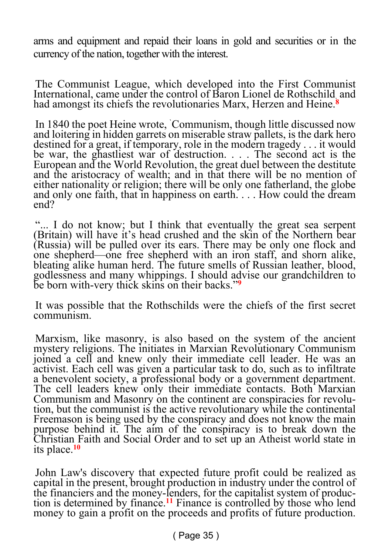arms and equipment and repaid their loans in gold and securities or in the currency of the nation, together with the interest.

The Communist League, which developed into the First Communist International, came under the control of Baron Lionel de Rothschild. and had amongst its chiefs the revolutionaries Marx, Herzen and Heine.**<sup>8</sup>**

In 1840 the poet Heine wrote, `Communism, though little discussed now and loitering in hidden garrets on miserable straw pallets, is the dark hero destined for a great, if temporary, role in the modern tragedy . . . it would be war, the ghastliest war of destruction. . . . The second act is the European and the World Revolution, the great duel between the destitute and the aristocracy of wealth; and in that there will be no mention of either nationality or religion; there will be only one fatherland, the globe and only one faith, that in happiness on earth. . . . How could the dream end?

"... I do not know; but I think that eventually the great sea serpent (Britain) will have it's head crushed and the skin of the Northern bear (Russia) will be pulled over its ears. There may be only one flock and one shepherd—one free shepherd with an iron staff, and shorn alike, bleating alike human herd. The future smells of Russian leather, blood, godlessness and many whippings. I should advise our grandchildren to be born with-very thick skins on their backs."**<sup>9</sup>**

It was possible that the Rothschilds were the chiefs of the first secret communism.

Marxism, like masonry, is also based on the system of the ancient mystery religions. The initiates in Marxian Revolutionary Communism ioined a cell and knew only their immediate cell leader. He was an activist. Each cell was given a particular task to do, such as to infiltrate a benevolent society, a professional body or a government department. The cell leaders knew only their immediate contacts. Both Marxian Communism and Masonry on the continent are conspiracies for revolution, but the communist is the active revolutionary while the continental Freemason is being used by the conspiracy and does not know the main purpose behind it. The aim of the conspiracy is to break down the Christian Faith and Social Order and to set up an Atheist world state in its place.**<sup>10</sup>**

John Law's discovery that expected future profit could be realized as capital in the present, brought production in industry under the control of the financiers and the money-lenders, for the capitalist system of production is determined by finance.**<sup>11</sup>** Finance is controlled by those who lend money to gain a profit on the proceeds and profits of future production.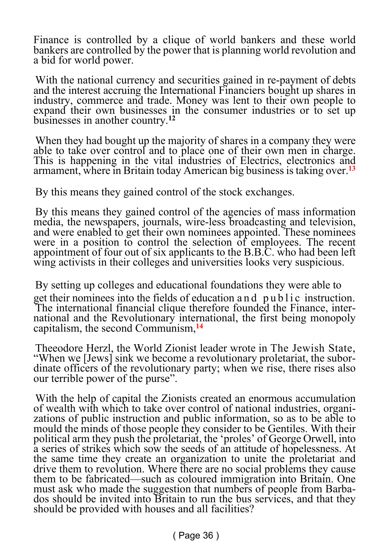Finance is controlled by a clique of world bankers and these world bankers are controlled by the power that is planning world revolution and a bid for world power.

With the national currency and securities gained in re-payment of debts and the interest accruing the International Financiers bought up shares in industry, commerce and trade. Money was lent to their own people to expand their own businesses in the consumer industries or to set up businesses in another country.**<sup>12</sup>**

When they had bought up the majority of shares in a company they were able to take over control and to place one of their own men in charge. This is happening in the vital industries of Electrics, electronics and armament, where in Britain today American big business is taking over.**<sup>13</sup>**

By this means they gained control of the stock exchanges.

By this means they gained control of the agencies of mass information media, the newspapers, journals, wire-less broadcasting and television, and were enabled to get their own nominees appointed. These nominees were in a position to control the selection of employees. The recent appointment of four out of six applicants to the B.B.C. who had been left wing activists in their colleges and universities looks very suspicious.

By setting up colleges and educational foundations they were able to get their nominees into the fields of education and public instruction. The international financial clique therefore founded the Finance, international and the Revolutionary international, the first being monopoly capitalism, the second Communism,**<sup>14</sup>**

Theeodore Herzl, the World Zionist leader wrote in The Jewish State, "When we [Jews] sink we become a revolutionary proletariat, the subordinate officers of the revolutionary party; when we rise, there rises also our terrible power of the purse".

With the help of capital the Zionists created an enormous accumulation of wealth with which to take over control of national industries, organizations of public instruction and public information, so as to be able to mould the minds of those people they consider to be Gentiles. With their political arm they push the proletariat, the 'proles' of George Orwell, into a series of strikes which sow the seeds of an attitude of hopelessness. At the same time they create an organization to unite the proletariat and drive them to revolution. Where there are no social problems they cause them to be fabricated—such as coloured immigration into Britain. One must ask who made the suggestion that numbers of people from Barbados should be invited into Britain to run the bus services, and that they should be provided with houses and all facilities?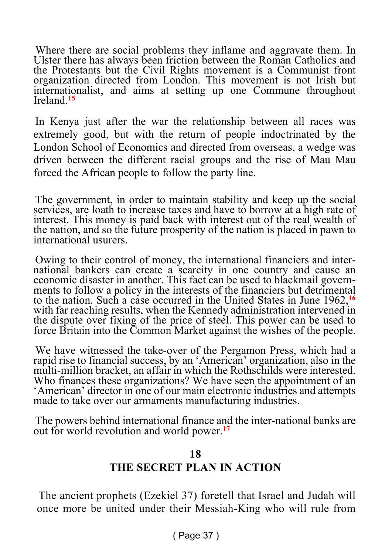Where there are social problems they inflame and aggravate them. In Ulster there has always been friction between the Roman Catholics and the Protestants but the Civil Rights movement is a Communist front organization directed from London. This movement is not Irish but internationalist, and aims at setting up one Commune throughout Ireland.**<sup>15</sup>**

In Kenya just after the war the relationship between all races was extremely good, but with the return of people indoctrinated by the London School of Economics and directed from overseas, a wedge was driven between the different racial groups and the rise of Mau Mau forced the African people to follow the party line.

The government, in order to maintain stability and keep up the social services, are loath to increase taxes and have to borrow at a high rate of interest. This money is paid back with interest out of the real wealth of the nation, and so the future prosperity of the nation is placed in pawn to international usurers.

Owing to their control of money, the international financiers and international bankers can create a scarcity in one country and cause an economic disaster in another. This fact can be used to blackmail governments to follow a policy in the interests of the financiers but detrimental to the nation. Such a case occurred in the United States in June 1962,**<sup>16</sup>** with far reaching results, when the Kennedy administration intervened in the dispute over fixing of the price of steel. This power can be used to force Britain into the Common Market against the wishes of the people.

We have witnessed the take-over of the Pergamon Press, which had a rapid rise to financial success, by an 'American' organization, also in the multi-million bracket, an affair in which the Rothschilds were interested. Who finances these organizations? We have seen the appointment of an 'American' director in one of our main electronic industries and attempts made to take over our armaments manufacturing industries.

The powers behind international finance and the inter-national banks are out for world revolution and world power.**<sup>17</sup>**

#### **18 THE SECRET PLAN IN ACTION**

The ancient prophets (Ezekiel 37) foretell that Israel and Judah will once more be united under their Messiah-King who will rule from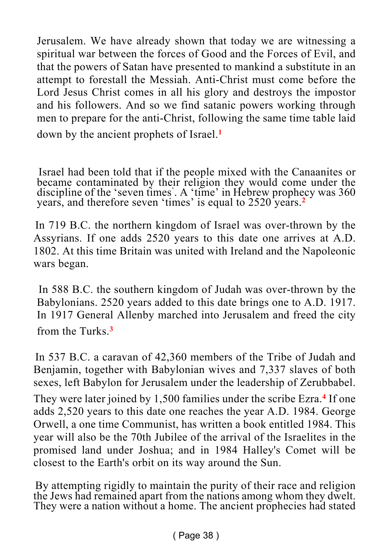Jerusalem. We have already shown that today we are witnessing a spiritual war between the forces of Good and the Forces of Evil, and that the powers of Satan have presented to mankind a substitute in an attempt to forestall the Messiah. Anti-Christ must come before the Lord Jesus Christ comes in all his glory and destroys the impostor and his followers. And so we find satanic powers working through men to prepare for the anti-Christ, following the same time table laid

down by the ancient prophets of Israel.**<sup>1</sup>**

Israel had been told that if the people mixed with the Canaanites or became contaminated by their religion they would come under the discipline of the 'seven times' . A 'time' in Hebrew prophecy was 360 years, and therefore seven 'times' is equal to 2520 years.**<sup>2</sup>**

In 719 B.C. the northern kingdom of Israel was over-thrown by the Assyrians. If one adds 2520 years to this date one arrives at A.D. 1802. At this time Britain was united with Ireland and the Napoleonic wars began.

In 588 B.C. the southern kingdom of Judah was over-thrown by the Babylonians. 2520 years added to this date brings one to A.D. 1917. In 1917 General Allenby marched into Jerusalem and freed the city from the Turks.**<sup>3</sup>**

In 537 B.C. a caravan of 42,360 members of the Tribe of Judah and Benjamin, together with Babylonian wives and 7,337 slaves of both sexes, left Babylon for Jerusalem under the leadership of Zerubbabel.

They were later joined by 1,500 families under the scribe Ezra.**<sup>4</sup>** If one adds 2,520 years to this date one reaches the year A.D. 1984. George Orwell, a one time Communist, has written a book entitled 1984. This year will also be the 70th Jubilee of the arrival of the Israelites in the promised land under Joshua; and in 1984 Halley's Comet will be closest to the Earth's orbit on its way around the Sun.

By attempting rigidly to maintain the purity of their race and religion the Jews had remained apart from the nations among whom they dwelt. They were a nation without a home. The ancient prophecies had stated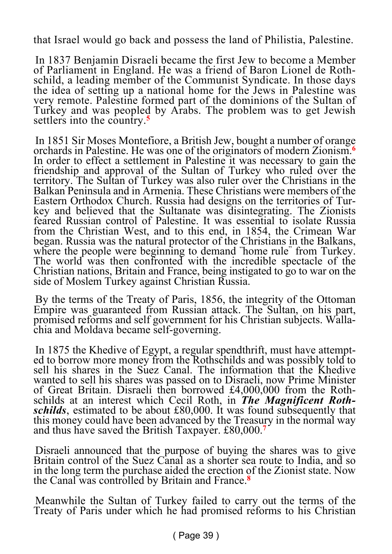that Israel would go back and possess the land of Philistia, Palestine.

In 1837 Benjamin Disraeli became the first Jew to become a Member of Parliament in England. He was a friend of Baron Lionel de Rothschild, a leading member of the Communist Syndicate. In those days the idea of setting up a national home for the Jews in Palestine was very remote. Palestine formed part of the dominions of the Sultan of Turkey and was peopled by Arabs. The problem was to get Jewish settlers into the country.**<sup>5</sup>**

In 1851 Sir Moses Montefiore, a British Jew, bought a number of orange orchards in Palestine. He was one of the originators of modern Zionism.**<sup>6</sup>** In order to effect a settlement in Palestine it was necessary to gain the friendship and approval of the Sultan of Turkey who ruled over the territory. The Sultan of Turkey was also ruler over the Christians in the Balkan Peninsula and in Armenia. These Christians were members of the Eastern Orthodox Church. Russia had designs on the territories of Turkey and believed that the Sultanate was disintegrating. The Zionists feared Russian control of Palestine. It was essential to isolate Russia from the Christian West, and to this end, in 1854, the Crimean War began. Russia was the natural protector of the Christians in the Balkans, where the people were beginning to demand "home rule" from Turkey. The world was then confronted with the incredible spectacle of the Christian nations, Britain and France, being instigated to go to war on the side of Moslem Turkey against Christian Russia.

By the terms of the Treaty of Paris, 1856, the integrity of the Ottoman Empire was guaranteed from Russian attack. The Sultan, on his part, promised reforms and self government for his Christian subjects. Wallachia and Moldava became self-governing.

In 1875 the Khedive of Egypt, a regular spendthrift, must have attempted to borrow more money from the Rothschilds and was possibly told to sell his shares in the Suez Canal. The information that the Khedive wanted to sell his shares was passed on to Disraeli, now Prime Minister of Great Britain. Disraeli then borrowed £4,000,000 from the Rothschilds at an interest which Cecil Roth, in *The Magnificent Rothschilds*, estimated to be about £80,000. It was found subsequently that this money could have been advanced by the Treasury in the normal way and thus have saved the British Taxpayer. £80,000.**<sup>7</sup>**

Disraeli announced that the purpose of buying the shares was to give Britain control of the Suez Canal as a shorter sea route to India, and so in the long term the purchase aided the erection of the Zionist state. Now the Canal was controlled by Britain and France.**<sup>8</sup>**

Meanwhile the Sultan of Turkey failed to carry out the terms of the Treaty of Paris under which he had promised reforms to his Christian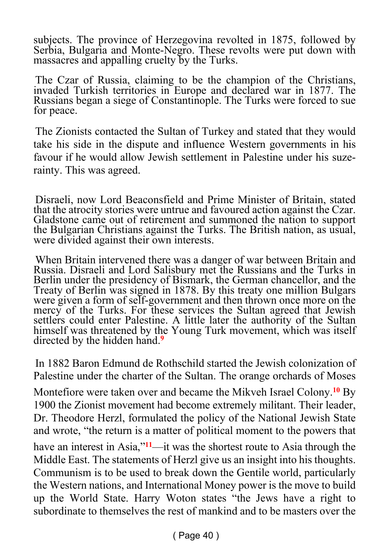subjects. The province of Herzegovina revolted in 1875, followed by Serbia, Bulgaria and Monte-Negro. These revolts were put down with massacres and appalling cruelty by the Turks.

The Czar of Russia, claiming to be the champion of the Christians, invaded Turkish territories in Europe and declared war in 1877. The Russians began a siege of Constantinople. The Turks were forced to sue for peace.

The Zionists contacted the Sultan of Turkey and stated that they would take his side in the dispute and influence Western governments in his favour if he would allow Jewish settlement in Palestine under his suzerainty. This was agreed.

Disraeli, now Lord Beaconsfield and Prime Minister of Britain, stated that the atrocity stories were untrue and favoured action against the Czar. Gladstone came out of retirement and summoned the nation to support the Bulgarian Christians against the Turks. The British nation, as usual, were divided against their own interests.

When Britain intervened there was a danger of war between Britain and Russia. Disraeli and Lord Salisbury met the Russians and the Turks in Berlin under the presidency of Bismark, the German chancellor, and the Treaty of Berlin was signed in 1878. By this treaty one million Bulgars were given a form of self-government and then thrown once more on the mercy of the Turks. For these services the Sultan agreed that Jewish settlers could enter Palestine. A little later the authority of the Sultan himself was threatened by the Young Turk movement, which was itself directed by the hidden hand.**<sup>9</sup>**

In 1882 Baron Edmund de Rothschild started the Jewish colonization of Palestine under the charter of the Sultan. The orange orchards of Moses

Montefiore were taken over and became the Mikveh Israel Colony.**<sup>10</sup>** By 1900 the Zionist movement had become extremely militant. Their leader, Dr. Theodore Herzl, formulated the policy of the National Jewish State and wrote, "the return is a matter of political moment to the powers that

have an interest in Asia,"**<sup>11</sup>**—it was the shortest route to Asia through the Middle East. The statements of Herzl give us an insight into his thoughts. Communism is to be used to break down the Gentile world, particularly the Western nations, and International Money power is the move to build up the World State. Harry Woton states "the Jews have a right to subordinate to themselves the rest of mankind and to be masters over the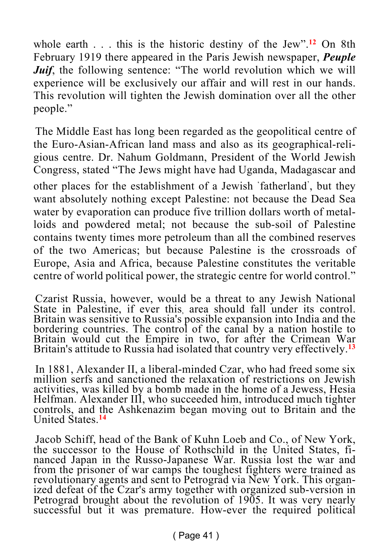whole earth . . . this is the historic destiny of the Jew".**<sup>12</sup>** On 8th February 1919 there appeared in the Paris Jewish newspaper, *Peuple Juif*, the following sentence: "The world revolution which we will experience will be exclusively our affair and will rest in our hands. This revolution will tighten the Jewish domination over all the other people."

The Middle East has long been regarded as the geopolitical centre of the Euro-Asian-African land mass and also as its geographical-religious centre. Dr. Nahum Goldmann, President of the World Jewish Congress, stated "The Jews might have had Uganda, Madagascar and other places for the establishment of a Jewish ' fatherland' , but they want absolutely nothing except Palestine: not because the Dead Sea water by evaporation can produce five trillion dollars worth of metalloids and powdered metal; not because the sub-soil of Palestine contains twenty times more petroleum than all the combined reserves of the two Americas; but because Palestine is the crossroads of Europe, Asia and Africa, because Palestine constitutes the veritable centre of world political power, the strategic centre for world control."

Czarist Russia, however, would be a threat to any Jewish National State in Palestine, if ever this, area should fall under its control. Britain was sensitive to Russia's possible expansion into India and the bordering countries. The control of the canal by a nation hostile to Britain would cut the Empire in two, for after the Crimean War Britain's attitude to Russia had isolated that country very effectively.**<sup>13</sup>**

In 1881, Alexander II, a liberal-minded Czar, who had freed some six million serfs and sanctioned the relaxation of restrictions on Jewish activities, was killed by a bomb made in the home of a Jewess, Hesia Helfman. Alexander III, who succeeded him, introduced much tighter controls, and the Ashkenazim began moving out to Britain and the United States.**<sup>14</sup>**

Jacob Schiff, head of the Bank of Kuhn Loeb and Co., of New York, the successor to the House of Rothschild in the United States, financed Japan in the Russo-Japanese War. Russia lost the war and from the prisoner of war camps the toughest fighters were trained as revolutionary agents and sent to Petrograd via New York. This organized defeat of the Czar's army together with organized sub-version in Petrograd brought about the revolution of 1905. It was very nearly successful but it was premature. How-ever the required political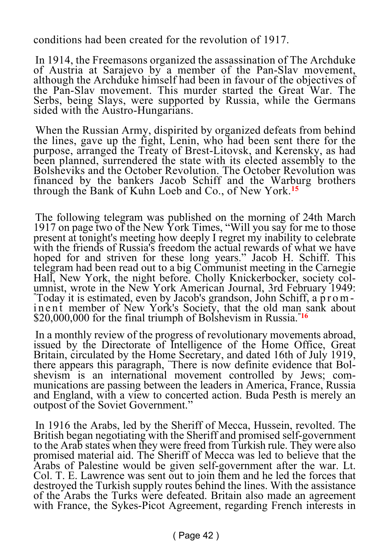conditions had been created for the revolution of 1917.

In 1914, the Freemasons organized the assassination of The Archduke of Austria at Sarajevo by a member of the Pan-Slav movement, although the Archduke himself had been in favour of the objectives of the Pan-Slav movement. This murder started the Great War. The Serbs, being Slays, were supported by Russia, while the Germans sided with the Austro-Hungarians.

When the Russian Army, dispirited by organized defeats from behind the lines, gave up the fight, Lenin, who had been sent there for the purpose, arranged the Treaty of Brest-Litovsk, and Kerensky, as had been planned, surrendered the state with its elected assembly to the Bolsheviks and the October Revolution. The October Revolution was financed by the bankers Jacob Schiff and the Warburg brothers through the Bank of Kuhn Loeb and Co., of New York.**<sup>15</sup>**

The following telegram was published on the morning of 24th March 1917 on page two of the New York Times, "Will you say for me to those present at tonight's meeting how deeply I regret my inability to celebrate with the friends of Russia's freedom the actual rewards of what we have hoped for and striven for these long years." Jacob H. Schiff. This telegram had been read out to a big Communist meeting in the Carnegie Hall, New York, the night before. Cholly Knickerbocker, society columnist, wrote in the New York American Journal, 3rd February 1949: "Today it is estimated, even by Jacob's grandson, John Schiff, a p r o m in ent member of New York's Society, that the old man sank about \$20,000,000 for the final triumph of Bolshevism in Russia."**<sup>16</sup>**

In a monthly review of the progress of revolutionary movements abroad, issued by the Directorate of Intelligence of the Home Office, Great Britain, circulated by the Home Secretary, and dated 16th of July 1919, there appears this paragraph, "There is now definite evidence that Bolshevism is an international movement controlled by Jews; communications are passing between the leaders in America, France, Russia and England, with a view to concerted action. Buda Pesth is merely an outpost of the Soviet Government."

In 1916 the Arabs, led by the Sheriff of Mecca, Hussein, revolted. The British began negotiating with the Sheriff and promised self-government to the Arab states when they were freed from Turkish rule. They were also promised material aid. The Sheriff of Mecca was led to believe that the Arabs of Palestine would be given self-government after the war. Lt. Col. T. E. Lawrence was sent out to join them and he led the forces that destroyed the Turkish supply routes behind the lines. With the assistance of the Arabs the Turks were defeated. Britain also made an agreement with France, the Sykes-Picot Agreement, regarding French interests in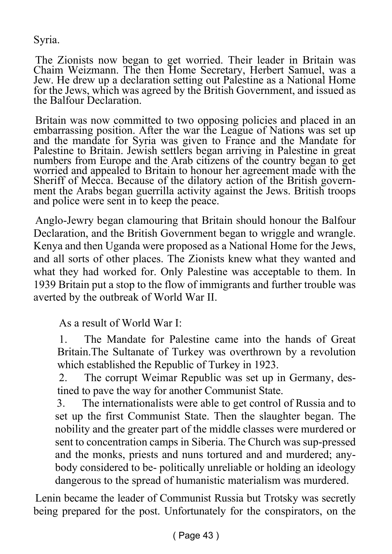Syria.

The Zionists now began to get worried. Their leader in Britain was Chaim Weizmann. The then Home Secretary, Herbert Samuel, was a Jew. He drew up a declaration setting out Palestine as a National Home for the Jews, which was agreed by the British Government, and issued as the Balfour Declaration.

Britain was now committed to two opposing policies and placed in an embarrassing position. After the war the League of Nations was set up and the mandate for Syria was given to France and the Mandate for Palestine to Britain. Jewish settlers began arriving in Palestine in great numbers from Europe and the Arab citizens of the country began to get worried and appealed to Britain to honour her agreement made with the Sheriff of Mecca. Because of the dilatory action of the British government the Arabs began guerrilla activity against the Jews. British troops and police were sent in to keep the peace.

Anglo-Jewry began clamouring that Britain should honour the Balfour Declaration, and the British Government began to wriggle and wrangle. Kenya and then Uganda were proposed as a National Home for the Jews, and all sorts of other places. The Zionists knew what they wanted and what they had worked for. Only Palestine was acceptable to them. In 1939 Britain put a stop to the flow of immigrants and further trouble was averted by the outbreak of World War II.

As a result of World War I:

1. The Mandate for Palestine came into the hands of Great Britain.The Sultanate of Turkey was overthrown by a revolution which established the Republic of Turkey in 1923.

2. The corrupt Weimar Republic was set up in Germany, destined to pave the way for another Communist State.

3. The internationalists were able to get control of Russia and to set up the first Communist State. Then the slaughter began. The nobility and the greater part of the middle classes were murdered or sent to concentration camps in Siberia. The Church was sup-pressed and the monks, priests and nuns tortured and and murdered; anybody considered to be- politically unreliable or holding an ideology dangerous to the spread of humanistic materialism was murdered.

Lenin became the leader of Communist Russia but Trotsky was secretly being prepared for the post. Unfortunately for the conspirators, on the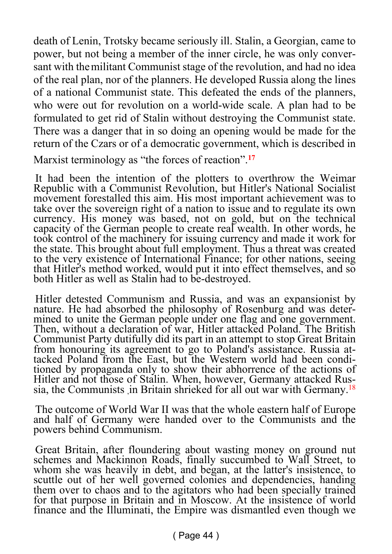death of Lenin, Trotsky became seriously ill. Stalin, a Georgian, came to power, but not being a member of the inner circle, he was only conversant with themilitant Communist stage of the revolution, and had no idea of the real plan, nor of the planners. He developed Russia along the lines of a national Communist state. This defeated the ends of the planners, who were out for revolution on a world-wide scale. A plan had to be formulated to get rid of Stalin without destroying the Communist state. There was a danger that in so doing an opening would be made for the return of the Czars or of a democratic government, which is described in

Marxist terminology as "the forces of reaction".**<sup>17</sup>**

It had been the intention of the plotters to overthrow the Weimar Republic with a Communist Revolution, but Hitler's National Socialist movement forestalled this aim. His most important achievement was to take over the sovereign right of a nation to issue and to regulate its own currency. His money was based, not on gold, but on the technical capacity of the German people to create real wealth. In other words, he took control of the machinery for issuing currency and made it work for the state. This brought about full employment. Thus a threat was created to the very existence of International Finance; for other nations, seeing that Hitler's method worked, would put it into effect themselves, and so both Hitler as well as Stalin had to be-destroyed.

Hitler detested Communism and Russia, and was an expansionist by nature. He had absorbed the philosophy of Rosenburg and was determined to unite the German people under one flag and one government. Then, without a declaration of war, Hitler attacked Poland. The British Communist Party dutifully did its part in an attempt to stop Great Britain from honouring its agreement to go to Poland's assistance. Russia attacked Poland from the East, but the Western world had been conditioned by propaganda only to show their abhorrence of the actions of Hitler and not those of Stalin. When, however, Germany attacked Russia, the Communists in Britain shrieked for all out war with Germany.<sup>18</sup>

The outcome of World War II was that the whole eastern half of Europe and half of Germany were handed over to the Communists and the powers behind Communism.

Great Britain, after floundering about wasting money on ground nut schemes and Mackinnon Roads, finally succumbed to Wall Street, to whom she was heavily in debt, and began, at the latter's insistence, to scuttle out of her well governed colonies and dependencies, handing them over to chaos and to the agitators who had been specially trained for that purpose in Britain and in Moscow. At the insistence of world finance and the Illuminati, the Empire was dismantled even though we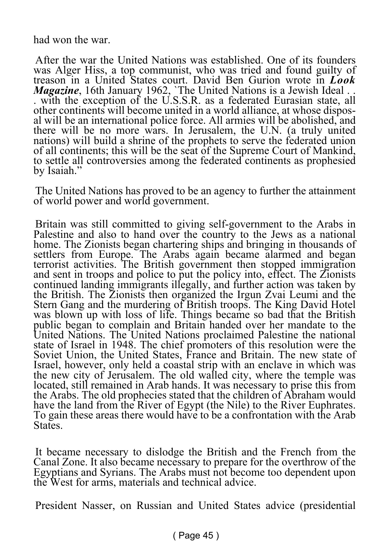had won the war.

After the war the United Nations was established. One of its founders was Alger Hiss, a top communist, who was tried and found guilty of treason in a United States court. David Ben Gurion wrote in *Look Magazine*, 16th January 1962, The United Nations is a Jewish Ideal ... . with the exception of the U.S.S.R. as a federated Eurasian state, all other continents will become united in a world alliance, at whose disposal will be an international police force. All armies will be abolished, and there will be no more wars. In Jerusalem, the U.N. (a truly united nations) will build a shrine of the prophets to serve the federated union of all continents; this will be the seat of the Supreme Court of Mankind, to settle all controversies among the federated continents as prophesied by Isaiah."

The United Nations has proved to be an agency to further the attainment of world power and world government.

Britain was still committed to giving self-government to the Arabs in Palestine and also to hand over the country to the Jews as a national home. The Zionists began chartering ships and bringing in thousands of settlers from Europe. The Arabs again became alarmed and began terrorist activities. The British government then stopped immigration and sent in troops and police to put the policy into, effect. The Zionists continued landing immigrants illegally, and further action was taken by the British. The Zionists then organized the Irgun Zvai Leumi and the Stern Gang and the murdering of British troops. The King David Hotel was blown up with loss of life. Things became so bad that the British public began to complain and Britain handed over her mandate to the United Nations. The United Nations proclaimed Palestine the national state of Israel in 1948. The chief promoters of this resolution were the Soviet Union, the United States, France and Britain. The new state of Israel, however, only held a coastal strip with an enclave in which was the new city of Jerusalem. The old walled city, where the temple was located, still remained in Arab hands. It was necessary to prise this from the Arabs. The old prophecies stated that the children of Abraham would have the land from the River of Egypt (the Nile) to the River Euphrates. To gain these areas there would have to be a confrontation with the Arab **States**.

It became necessary to dislodge the British and the French from the Canal Zone. It also became necessary to prepare for the overthrow of the Egyptians and Syrians. The Arabs must not become too dependent upon the West for arms, materials and technical advice.

President Nasser, on Russian and United States advice (presidential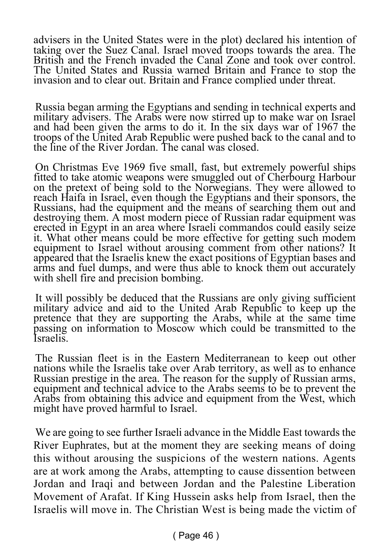advisers in the United States were in the plot) declared his intention of taking over the Suez Canal. Israel moved troops towards the area. The British and the French invaded the Canal Zone and took over control. The United States and Russia warned Britain and France to stop the invasion and to clear out. Britain and France complied under threat.

Russia began arming the Egyptians and sending in technical experts and military advisers. The Arabs were now stirred up to make war on Israel and had been given the arms to do it. In the six days war of 1967 the troops of the United Arab Republic were pushed back to the canal and to the line of the River Jordan. The canal was closed.

On Christmas Eve 1969 five small, fast, but extremely powerful ships fitted to take atomic weapons were smuggled out of Cherbourg Harbour on the pretext of being sold to the Norwegians. They were allowed to reach Haifa in Israel, even though the Egyptians and their sponsors, the Russians, had the equipment and the means of searching them out and destroying them. A most modern piece of Russian radar equipment was erected in Egypt in an area where Israeli commandos could easily seize it. What other means could be more effective for getting such modem equipment to Israel without arousing comment from other nations? It appeared that the Israelis knew the exact positions of Egyptian bases and arms and fuel dumps, and were thus able to knock them out accurately with shell fire and precision bombing.

It will possibly be deduced that the Russians are only giving sufficient military advice and aid to the United Arab Republic to keep up the pretence that they are supporting the Arabs, while at the same time passing on information to Moscow which could be transmitted to the Israelis.

The Russian fleet is in the Eastern Mediterranean to keep out other nations while the Israelis take over Arab territory, as well as to enhance Russian prestige in the area. The reason for the supply of Russian arms, equipment and technical advice to the Arabs seems to be to prevent the Arabs from obtaining this advice and equipment from the West, which might have proved harmful to Israel.

We are going to see further Israeli advance in the Middle East towards the River Euphrates, but at the moment they are seeking means of doing this without arousing the suspicions of the western nations. Agents are at work among the Arabs, attempting to cause dissention between Jordan and Iraqi and between Jordan and the Palestine Liberation Movement of Arafat. If King Hussein asks help from Israel, then the Israelis will move in. The Christian West is being made the victim of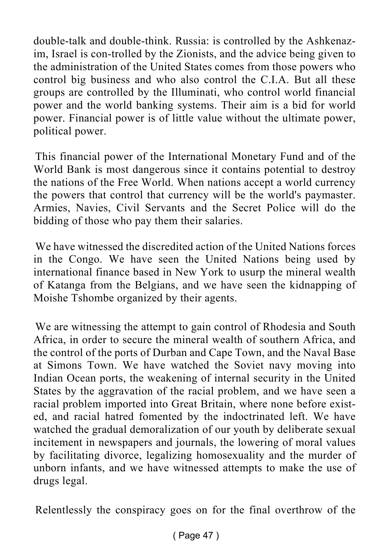double-talk and double-think. Russia: is controlled by the Ashkenazim, Israel is con-trolled by the Zionists, and the advice being given to the administration of the United States comes from those powers who control big business and who also control the C.I.A. But all these groups are controlled by the Illuminati, who control world financial power and the world banking systems. Their aim is a bid for world power. Financial power is of little value without the ultimate power, political power.

This financial power of the International Monetary Fund and of the World Bank is most dangerous since it contains potential to destroy the nations of the Free World. When nations accept a world currency the powers that control that currency will be the world's paymaster. Armies, Navies, Civil Servants and the Secret Police will do the bidding of those who pay them their salaries.

We have witnessed the discredited action of the United Nations forces in the Congo. We have seen the United Nations being used by international finance based in New York to usurp the mineral wealth of Katanga from the Belgians, and we have seen the kidnapping of Moishe Tshombe organized by their agents.

We are witnessing the attempt to gain control of Rhodesia and South Africa, in order to secure the mineral wealth of southern Africa, and the control of the ports of Durban and Cape Town, and the Naval Base at Simons Town. We have watched the Soviet navy moving into Indian Ocean ports, the weakening of internal security in the United States by the aggravation of the racial problem, and we have seen a racial problem imported into Great Britain, where none before existed, and racial hatred fomented by the indoctrinated left. We have watched the gradual demoralization of our youth by deliberate sexual incitement in newspapers and journals, the lowering of moral values by facilitating divorce, legalizing homosexuality and the murder of unborn infants, and we have witnessed attempts to make the use of drugs legal.

Relentlessly the conspiracy goes on for the final overthrow of the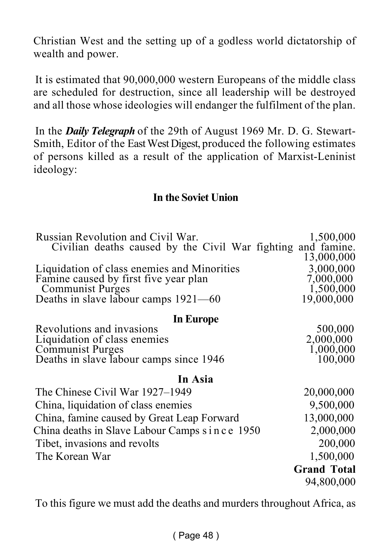Christian West and the setting up of a godless world dictatorship of wealth and power.

It is estimated that 90,000,000 western Europeans of the middle class are scheduled for destruction, since all leadership will be destroyed and all those whose ideologies will endanger the fulfilment of the plan.

In the *Daily Telegraph* of the 29th of August 1969 Mr. D. G. Stewart-Smith, Editor of the East West Digest, produced the following estimates of persons killed as a result of the application of Marxist-Leninist ideology:

#### **In the Soviet Union**

| Russian Revolution and Civil War.<br>Civilian deaths caused by the Civil War fighting | 1,500,000<br>and famine. |
|---------------------------------------------------------------------------------------|--------------------------|
|                                                                                       | 13,000,000               |
| Liquidation of class enemies and Minorities                                           | 3,000,000                |
| Famine caused by first five year plan                                                 | 7,000,000                |
| Communist Purges                                                                      | 1,500,000<br>19,000,000  |
| Deaths in slave labour camps $1921 - 60$                                              |                          |
| In Europe                                                                             |                          |
| Revolutions and invasions                                                             | 500,000                  |
| Liquidation of class enemies                                                          | 2,000,000                |
| Communist Purges<br>Deaths in slave Iabour camps since 1946                           | 1,000,000<br>100,000     |
|                                                                                       |                          |
| In Asia                                                                               |                          |
| The Chinese Civil War 1927–1949                                                       | 20,000,000               |
| China, liquidation of class enemies                                                   | 9,500,000                |
| China, famine caused by Great Leap Forward                                            | 13,000,000               |
| China deaths in Slave Labour Camps since 1950                                         | 2,000,000                |
| Tibet, invasions and revolts                                                          | 200,000                  |
| The Korean War                                                                        | 1,500,000                |
|                                                                                       | <b>Grand Total</b>       |
|                                                                                       | 94,800,000               |
|                                                                                       |                          |

To this figure we must add the deaths and murders throughout Africa, as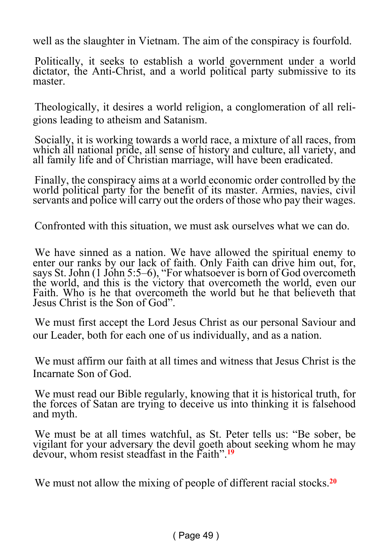well as the slaughter in Vietnam. The aim of the conspiracy is fourfold.

Politically, it seeks to establish a world government under a world dictator, the Anti-Christ, and a world political party submissive to its master.

Theologically, it desires a world religion, a conglomeration of all religions leading to atheism and Satanism.

Socially, it is working towards a world race, a mixture of all races, from which all national pride, all sense of history and culture, all variety, and all family life and of Christian marriage, will have been eradicated.

Finally, the conspiracy aims at a world economic order controlled by the world political party for the benefit of its master. Armies, navies, civil servants and police will carry out the orders of those who pay their wages.

Confronted with this situation, we must ask ourselves what we can do.

We have sinned as a nation. We have allowed the spiritual enemy to enter our ranks by our lack of faith. Only Faith can drive him out, for, says St. John (1 John 5:5–6), "For whatsoever is born of God overcometh" the world, and this is the victory that overcometh the world, even our Faith. Who is he that overcometh the world but he that believeth that Jesus Christ is the Son of God".

We must first accept the Lord Jesus Christ as our personal Saviour and our Leader, both for each one of us individually, and as a nation.

We must affirm our faith at all times and witness that Jesus Christ is the Incarnate Son of God.

We must read our Bible regularly, knowing that it is historical truth, for the forces of Satan are trying to deceive us into thinking it is falsehood and myth.

We must be at all times watchful, as St. Peter tells us: "Be sober, be vigilant for your adversary the devil goeth about seeking whom he may devour, whom resist steadfast in the Faith".**<sup>19</sup>**

We must not allow the mixing of people of different racial stocks.**20**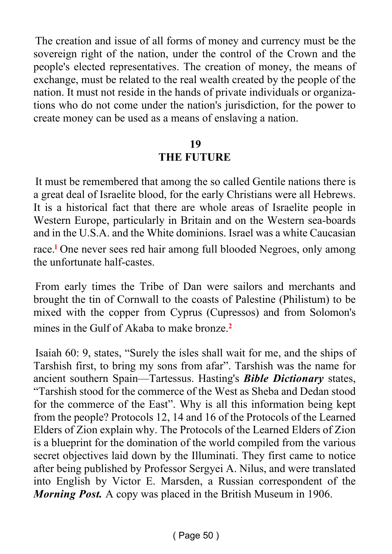The creation and issue of all forms of money and currency must be the sovereign right of the nation, under the control of the Crown and the people's elected representatives. The creation of money, the means of exchange, must be related to the real wealth created by the people of the nation. It must not reside in the hands of private individuals or organizations who do not come under the nation's jurisdiction, for the power to create money can be used as a means of enslaving a nation.

#### **19**

#### **THE FUTURE**

It must be remembered that among the so called Gentile nations there is a great deal of Israelite blood, for the early Christians were all Hebrews. It is a historical fact that there are whole areas of Israelite people in Western Europe, particularly in Britain and on the Western sea-boards and in the U.S.A. and the White dominions. Israel was a white Caucasian race.**<sup>l</sup>** One never sees red hair among full blooded Negroes, only among the unfortunate half-castes.

From early times the Tribe of Dan were sailors and merchants and brought the tin of Cornwall to the coasts of Palestine (Philistum) to be mixed with the copper from Cyprus (Cupressos) and from Solomon's mines in the Gulf of Akaba to make bronze.**<sup>2</sup>**

Isaiah 60: 9, states, "Surely the isles shall wait for me, and the ships of Tarshish first, to bring my sons from afar". Tarshish was the name for ancient southern Spain—Tartessus. Hasting's *Bible Dictionary* states, "Tarshish stood for the commerce of the West as Sheba and Dedan stood for the commerce of the East". Why is all this information being kept from the people? Protocols 12, 14 and 16 of the Protocols of the Learned Elders of Zion explain why. The Protocols of the Learned Elders of Zion is a blueprint for the domination of the world compiled from the various secret objectives laid down by the Illuminati. They first came to notice after being published by Professor Sergyei A. Nilus, and were translated into English by Victor E. Marsden, a Russian correspondent of the *Morning Post.* A copy was placed in the British Museum in 1906.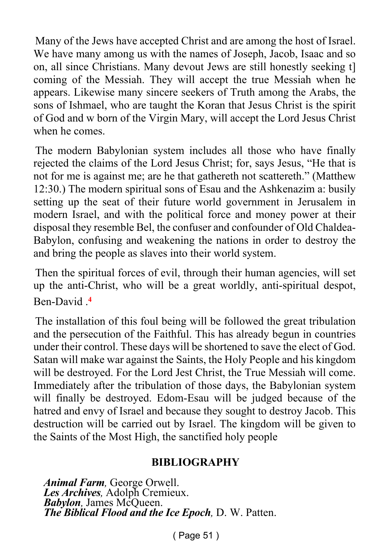Many of the Jews have accepted Christ and are among the host of Israel. We have many among us with the names of Joseph, Jacob, Isaac and so on, all since Christians. Many devout Jews are still honestly seeking t] coming of the Messiah. They will accept the true Messiah when he appears. Likewise many sincere seekers of Truth among the Arabs, the sons of Ishmael, who are taught the Koran that Jesus Christ is the spirit of God and w born of the Virgin Mary, will accept the Lord Jesus Christ when he comes.

The modern Babylonian system includes all those who have finally rejected the claims of the Lord Jesus Christ; for, says Jesus, "He that is not for me is against me; are he that gathereth not scattereth." (Matthew 12:30.) The modern spiritual sons of Esau and the Ashkenazim a: busily setting up the seat of their future world government in Jerusalem in modern Israel, and with the political force and money power at their disposal they resemble Bel, the confuser and confounder of Old Chaldea-Babylon, confusing and weakening the nations in order to destroy the and bring the people as slaves into their world system.

Then the spiritual forces of evil, through their human agencies, will set up the anti-Christ, who will be a great worldly, anti-spiritual despot, Ben-David .**<sup>4</sup>**

The installation of this foul being will be followed the great tribulation and the persecution of the Faithful. This has already begun in countries under their control. These days will be shortened to save the elect of God. Satan will make war against the Saints, the Holy People and his kingdom will be destroyed. For the Lord Jest Christ, the True Messiah will come. Immediately after the tribulation of those days, the Babylonian system will finally be destroyed. Edom-Esau will be judged because of the hatred and envy of Israel and because they sought to destroy Jacob. This destruction will be carried out by Israel. The kingdom will be given to the Saints of the Most High, the sanctified holy people

#### **BIBLIOGRAPHY**

*Animal Farm,* George Orwell. *Les Archives,* Adolph Cremieux. *Babylon,* James McQueen. *The Biblical Flood and the Ice Epoch,* D. W. Patten.

( Page 51 )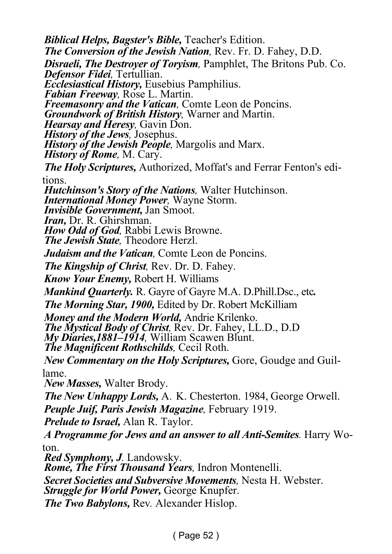*Biblical Helps, Bagster's Bible,* Teacher's Edition. *The Conversion of the Jewish Nation,* Rev. Fr. D. Fahey, D.D. *Disraeli, The Destroyer of Toryism,* Pamphlet, The Britons Pub. Co. *Defensor Fidei,* Tertullian. *Ecclesiastical History,* Eusebius Pamphilius. *Fabian Freeway,* Rose L. Martin. *Freemasonry and the Vatican,* Comte Leon de Poncins. *Groundwork of British History,* Warner and Martin. *Hearsay and Heresy,* Gavin Don. *History of the Jews,* Josephus. *History of the Jewish People,* Margolis and Marx. *History of Rome,* M. Cary. *The Holy Scriptures,* Authorized, Moffat's and Ferrar Fenton's editions. *Hutchinson's Story of the Nations,* Walter Hutchinson. *International Money Power,* Wayne Storm. *Invisible Government,* Jan Smoot. *Iran,* Dr. R. Ghirshman. *How Odd of God,* Rabbi Lewis Browne. *The Jewish State,* Theodore Herzl. *Judaism and the Vatican,* Comte Leon de Poncins. *The Kingship of Christ,* Rev. Dr. D. Fahey. *Know Your Enemy,* Robert H. Williams *Mankind Quarterly.* R. Gayre of Gayre M.A. D.Phill.Dsc., etc*. The Morning Star, 1900, Edited by Dr. Robert McKilliam Money and the Modern World,* Andrie Krilenko. *The Mystical Body of Christ,* Rev. Dr. Fahey, LL.D., D.D *My Diaries,1881–1914,* William Scawen Blunt. *The Magnificent Rothschilds,* Cecil Roth. *New Commentary on the Holy Scriptures,* Gore, Goudge and Guillame. *New Masses,* Walter Brody. *The New Unhappy Lords,* A*.* K. Chesterton. 1984, George Orwell. *Peuple Juif, Paris Jewish Magazine,* February 1919. *Prelude to Israel,* Alan R. Taylor. *A Programme for Jews and an answer to all Anti-Semites.* Harry Woton. *Red Symphony, J.* Landowsky. *Rome, The First Thousand Years,* Indron Montenelli. *Secret Societies and Subversive Movements,* Nesta H. Webster.

*Struggle for World Power,* George Knupfer.

*The Two Babylons,* Rev*.* Alexander Hislop.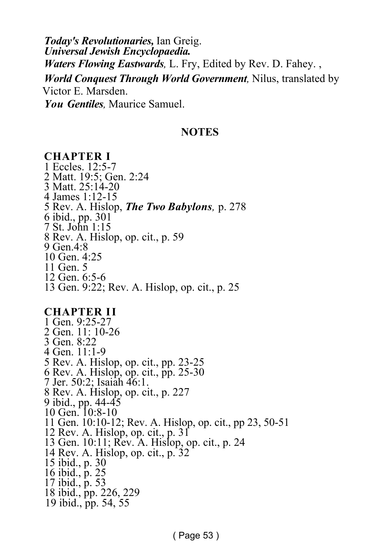*Today's Revolutionaries,* Ian Greig. *Universal Jewish Encyclopaedia. Waters Flowing Eastwards,* L. Fry, Edited by Rev. D. Fahey. , *World Conquest Through World Government,* Nilus, translated by Victor E. Marsden. *You Gentiles,* Maurice Samuel.

#### **NOTES**

#### **CHAPTER I** 1 Eccles. 12:5-7 2 Matt. 19:5; Gen. 2:24 3 Matt. 25:14-20 4 James 1:12-15 5 Rev. A. Hislop, *The Two Babylons,* p. 278 6 ibid., pp. 301 7 St. John 1:15 8 Rev. A. Hislop, op. cit., p. 59 9 Gen.4:8 10 Gen. 4:25 11 Gen. 5 12 Gen. 6:5-6 13 Gen. 9:22; Rev. A. Hislop, op. cit., p. 25

#### **CHAPTER II**

1 Gen. 9:25-27 2 Gen. 11: 10-26 3 Gen. 8:22 4 Gen. 11:1-9 5 Rev. A. Hislop, op. cit., pp. 23-25 6 Rev. A. Hislop, op. cit., pp. 25-30 7 Jer. 50:2; Isaiah 46:1. 8 Rev. A. Hislop, op. cit., p. 227 9 ibid., pp. 44-45 10 Gen. 10:8-10 11 Gen. 10:10-12; Rev. A. Hislop, op. cit., pp 23, 50-51 12 Rev. A. Hislop, op. cit., p. 31 13 Gen. 10:11; Rev. A. Hislop, op. cit., p. 24 14 Rev. A. Hislop, op. cit., p. 32 15 ibid., p. 30 16 ibid., p. 25 17 ibid., p. 53 18 ibid., pp. 226, 229 19 ibid., pp. 54, 55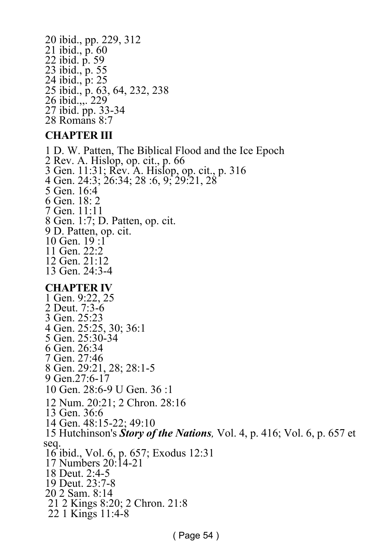20 ibid., pp. 229, 312 21 ibid., p. 60 22 ibid. p. 59 23 ibid., p. 55 24 ibid., p: 25 25 ibid., p. 63, 64, 232, 238 26 ibid.,,. 229 27 ibid. pp. 33-34 28 Romans 8:7

#### **CHAPTER III**

1 D. W. Patten, The Biblical Flood and the Ice Epoch 2 Rev. A. Hislop, op. cit., p. 66 3 Gen. 11:31; Rev. A. Hislop, op. cit., p. 316 4 Gen. 24:3; 26:34; 28 :6, 9; 29:21, 28 5 Gen. 16:4 6 Gen. 18: 2 7 Gen. 11:11 8 Gen. 1:7; D. Patten, op. cit. 9 D. Patten, op. cit. 10 Gen. 19 :1 11 Gen. 22:2 12 Gen. 21:12 13 Gen. 24:3-4 **CHAPTER IV** 1 Gen. 9:22, 25 2 Deut. 7:3-6 3 Gen. 25:23 4 Gen. 25:25, 30; 36:1 5 Gen. 25:30-34 6 Gen. 26:34 7 Gen. 27:46 8 Gen. 29:21, 28; 28:1-5 9 Gen.27:6-17 10 Gen. 28:6-9 U Gen. 36 :1 12 Num. 20:21; 2 Chron. 28:16 13 Gen. 36:6 14 Gen. 48:15-22; 49:10 15 Hutchinson's *Story of the Nations,* Vol. 4, p. 416; Vol. 6, p. 657 et seq. 16 ibid., Vol. 6, p. 657; Exodus 12:31 17 Numbers 20:14-21 18 Deut. 2:4-5 19 Deut. 23:7-8 20 2 Sam. 8:14 21 2 Kings 8:20; 2 Chron. 21:8 22 1 Kings 11:4-8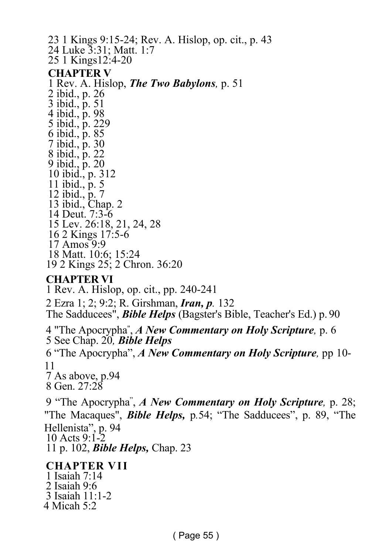23 1 Kings 9:15-24; Rev. A. Hislop, op. cit., p. 43 24 Luke 3:31; Matt. 1:7 25 1 Kings12:4-20 **CHAPTER V** 1 Rev. A. Hislop, *The Two Babylons,* p. 51 2 ibid., p. 26 3 ibid., p. 51 4 ibid., p. 98 5 ibid., p. 229 6 ibid., p. 85 7 ibid., p. 30 8 ibid., p. 22 9 ibid., p. 20 10 ibid., p. 312 11 ibid., p. 5 12 ibid., p. 7 13 ibid., Chap. 2 14 Deut. 7:3-6 15 Lev. 26:18, 21, 24, 28 16 2 Kings 17:5-6  $17 \text{ Amos}$  9.9 18 Matt. 10:6; 15:24 19 2 Kings 25; 2 Chron. 36:20 **CHAPTER VI** 1 Rev. A. Hislop, op. cit., pp. 240-241

2 Ezra 1; 2; 9:2; R. Girshman, *Iran, p.* 132 The Sadducees", *Bible Helps* (Bagster's Bible, Teacher's Ed.) p. 90 4 "The Apocrypha" , *A New Commentary on Holy Scripture,* p. 6 5 See Chap. 20*, Bible Helps* 6 "The Apocrypha", *A New Commentary on Holy Scripture,* pp 10- 11 7 As above, p.94 8 Gen. 27:28 9 "The Apocrypha" , *A New Commentary on Holy Scripture,* p. 28; "The Macaques", *Bible Helps,* p*.*54; "The Sadducees", p. 89, "The Hellenista", p. 94 10 Acts 9:1-2 11 p. 102, *Bible Helps,* Chap. 23 **CHAPTER VII**

1 Isaiah 7:14 2 Isaiah 9:6 3 Isaiah 11:1-2 4 Micah 5:2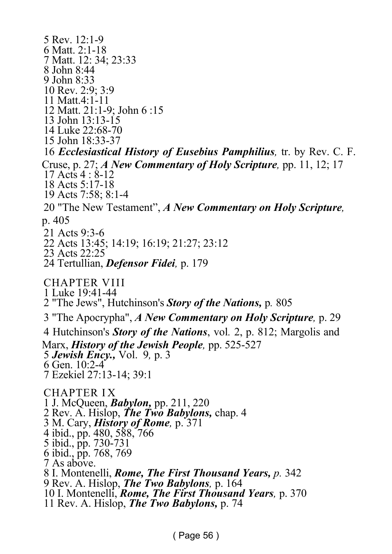5 Rev. 12:1-9 6 Matt. 2:1-18 7 Matt. 12: 34; 23:33 8 John 8:44 9 John 8:33 10 Rev. 2:9; 3:9 11 Matt.4:1-11 12 Matt. 21:1-9; John 6 :15 13 John 13:13-15 14 Luke 22:68-70 15 John 18:33-37 16 *Ecclesiastical History of Eusebius Pamphilius,* tr. by Rev. C. F. Cruse, p. 27; *A New Commentary of Holy Scripture,* pp. 11, 12; 17 17 Acts 4 : 8-12 18 Acts 5:17-18 19 Acts 7:58; 8:1-4 20 "The New Testament", *A New Commentary on Holy Scripture,* p. 405 21 Acts 9:3-6 22 Acts 13:45; 14:19; 16:19; 21:27; 23:12 23 Acts 22:25 24 Tertullian, *Defensor Fidei,* p. 179 CHAPTER VIII 1 Luke 19:41-44 2 "The Jews", Hutchinson's *Story of the Nations,* p*.* 805 3 "The Apocrypha", *A New Commentary on Holy Scripture,* p. 29 4 Hutchinson's *Story of the Nations*, vol*.* 2, p. 812; Margolis and Marx, *History of the Jewish People*, pp. 525-527 5 *Jewish Ency.,* Vol. 9*,* p. 3 6 Gen. 10:2-4 7 Ezekiel 27:13-14; 39:1 CHAPTER I X 1 J. McQueen, *Babylon,* pp. 211, 220 2 Rev. A. Hislop, *The Two Babylons,* chap. 4 3 M. Cary, *History of Rome,* p. 371 4 ibid., pp. 480, 588, 766 5 ibid., pp. 730-731 6 ibid., pp. 768, 769 7 As above. 8 I. Montenelli, *Rome, The First Thousand Years, p.* 342 9 Rev. A. Hislop, *The Two Babylons,* p. 164 10 I. Montenelli, *Rome, The First Thousand Years,* p. 370 11 Rev. A. Hislop, *The Two Babylons,* p. 74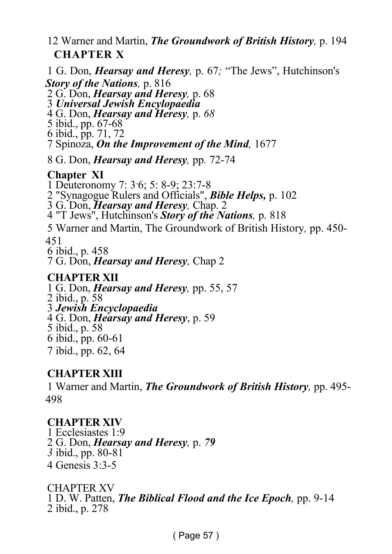#### 12 Warner and Martin, *The Groundwork of British History,* p. 194  **CHAPTER X**

1 G. Don, *Hearsay and Heresy,* p. 67*;* "The Jews", Hutchinson's *Story of the Nations,* p. 816 2 G. Don, *Hearsay and Heresy,* p. 68 3 *Universal Jewish Encylopaedia* 4 G. Don, *Hearsay and Heresy,* p. *68* 5 ibid., pp. 67-68 6 ibid., pp. 71, 72 7 Spinoza, *On the Improvement of the Mind,* 1677 8 G. Don, *Hearsay and Heresy,* pp*.* 72-74 **Chapter XI** 1 Deuteronomy 7: 3-6; 5: 8-9; 23:7-8 2 "Synagogue Rulers and Officials", *Bible Helps,* p. 102 3 G. Don, *Hearsay and Heresy,* Chap. 2 4 "T Jews", Hutchinson's *Story of the Nations,* p*.* 818 5 Warner and Martin, The Groundwork of British History*,* pp. 450- 451 6 ibid., p. 458 7 G. Don, *Hearsay and Heresy,* Chap 2 **CHAPTER XII** 1 G. Don, *Hearsay and Heresy,* pp. 55, 57 2 ibid., p. 58 3 *Jewish Encyclopaedia* 4 G. Don, *Hearsay and Heresy*, p. 59

5 ibid., p. 58

6 ibid., pp. 60-61

7 ibid., pp. 62, 64

#### **CHAPTER XIII**

1 Warner and Martin, *The Groundwork of British History,* pp. 495- 498

#### **CHAPTER XIV**

1 Ecclesiastes 1:9 2 G. Don, *Hearsay and Heresy,* p. *79 3* ibid., pp. 80-81 4 Genesis 3:3-5

CHAPTER XV 1 D. W. Patten, *The Biblical Flood and the Ice Epoch,* pp. 9-14 2 ibid., p. 278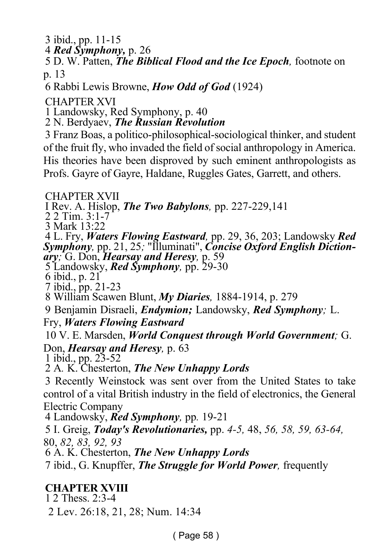3 ibid., pp. 11-15

4 *Red Symphony,* p. 26

5 D. W. Patten, *The Biblical Flood and the Ice Epoch,* footnote on p. 13

6 Rabbi Lewis Browne, *How Odd of God* (1924)

CHAPTER XVI

1 Landowsky, Red Symphony, p. 40

2 N. Berdyaev, *The Russian Revolution*

3 Franz Boas, a politico-philosophical-sociological thinker, and student of the fruit fly, who invaded the field of social anthropology in America. His theories have been disproved by such eminent anthropologists as Profs. Gayre of Gayre, Haldane, Ruggles Gates, Garrett, and others.

CHAPTER XVII

I Rev. A. Hislop, *The Two Babylons,* pp. 227-229,141

2 2 Tim. 3:1-7

3 Mark 13:22

4 L. Fry, *Waters Flowing Eastward,* pp. 29, 36, 203; Landowsky *Red Symphony,* pp. 21, 25*;* "Illuminati", *Concise Oxford English Dictionary;* G. Don, *Hearsay and Heresy,* p. 59

5 Landowsky, *Red Symphony,* pp. 29-30

6 ibid., p. 21

7 ibid., pp. 21-23

8 William Scawen Blunt, *My Diaries,* 1884-1914, p. 279

9 Benjamin Disraeli, *Endymion;* Landowsky, *Red Symphony;* L.

Fry, *Waters Flowing Eastward*

10 V. E. Marsden, *World Conquest through World Government;* G. Don, *Hearsay and Heresy,* p. 63

1 ibid., pp. 23-52

2 A*.* K. Chesterton, *The New Unhappy Lords*

3 Recently Weinstock was sent over from the United States to take control of a vital British industry in the field of electronics, the General Electric Company

4 Landowsky, *Red Symphony,* pp*.* 19-21

5 I. Greig, *Today's Revolutionaries,* pp. *4-5,* 48, *56, 58, 59, 63-64,* 80, *82, 83, 92, 93*

6 A. K. Chesterton, *The New Unhappy Lords*

7 ibid., G. Knupffer, *The Struggle for World Power,* frequently

#### **CHAPTER XVIII**

1 2 Thess. 2:3-4

2 Lev. 26:18, 21, 28; Num. 14:34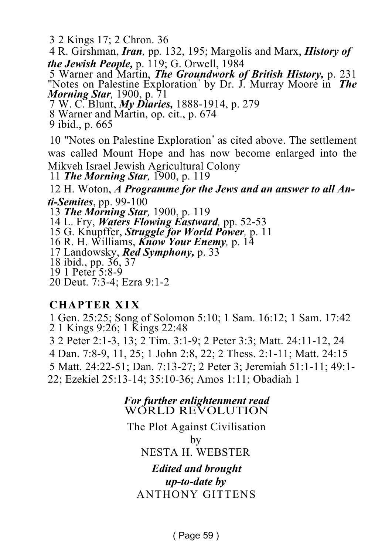3 2 Kings 17; 2 Chron. 36

4 R. Girshman, *Iran,* pp*.* 132, 195; Margolis and Marx, *History of the Jewish People,* p. 119; G. Orwell, 1984

5 Warner and Martin, *The Groundwork of British History,* p. 231 "Notes on Palestine Exploration" by Dr. J. Murray Moore in *The Morning Star,* 1900, p. 71

7 W. C. Blunt, *My Diaries,* 1888-1914, p. 279

8 Warner and Martin, op. cit., p. 674

9 ibid., p. 665

10 "Notes on Palestine Exploration" as cited above. The settlement was called Mount Hope and has now become enlarged into the Mikveh Israel Jewish Agricultural Colony

11 *The Morning Star,* 1900, p. 119

12 H. Woton, *A Programme for the Jews and an answer to all Anti-Semites*, pp. 99-100

13 *The Morning Star,* 1900, p. 119

14 L. Fry, *Waters Flowing Eastward,* pp. 52-53

15 G. Knupffer, *Struggle for World Power,* p. 11

16 R. H. Williams, *Know Your Enemy,* p. 14

17 Landowsky, *Red Symphony,* p. 33

18 ibid., pp. 36, 37

19 1 Peter 5:8-9

20 Deut. 7:3-4; Ezra 9:1-2

#### **CHAPTER X I X**

1 Gen. 25:25; Song of Solomon 5:10; 1 Sam. 16:12; 1 Sam. 17:42 2 1 Kings 9:26; 1 Kings 22:48

3 2 Peter 2:1-3, 13; 2 Tim. 3:1-9; 2 Peter 3:3; Matt. 24:11-12, 24

4 Dan. 7:8-9, 11, 25; 1 John 2:8, 22; 2 Thess. 2:1-11; Matt. 24:15

5 Matt. 24:22-51; Dan. 7:13-27; 2 Peter 3; Jeremiah 51:1-11; 49:1-

22; Ezekiel 25:13-14; 35:10-36; Amos 1:11; Obadiah 1

*For further enlightenment read* WORLD REVOLUTION

The Plot Against Civilisation by NESTA H. WEBSTER *Edited and brought*

*up-to-date by* ANTHONY GITTENS

( Page 59 )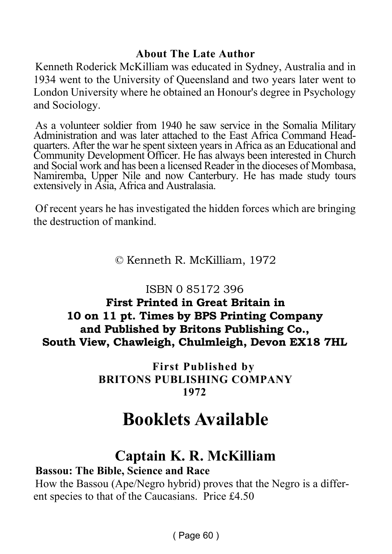#### **About The Late Author**

Kenneth Roderick McKilliam was educated in Sydney, Australia and in 1934 went to the University of Queensland and two years later went to London University where he obtained an Honour's degree in Psychology and Sociology.

As a volunteer soldier from 1940 he saw service in the Somalia Military Administration and was later attached to the East Africa Command Headquarters. After the war he spent sixteen years in Africa as an Educational and Community Development Officer. He has always been interested in Church and Social work and has been a licensed Reader in the dioceses of Mombasa, Namiremba, Upper Nile and now Canterbury. He has made study tours extensively in Asia, Africa and Australasia.

Of recent years he has investigated the hidden forces which are bringing the destruction of mankind.

#### © Kenneth R. McKilliam, 1972

#### ISBN 0 85172 396

**First Printed in Great Britain in 10 on 11 pt. Times by BPS Printing Company and Published by Britons Publishing Co., South View, Chawleigh, Chulmleigh, Devon EX18 7HL**

> **First Published by BRITONS PUBLISHING COMPANY 1972**

### **Booklets Available**

### **Captain K. R. McKilliam**

#### **Bassou: The Bible, Science and Race**

How the Bassou (Ape/Negro hybrid) proves that the Negro is a different species to that of the Caucasians. Price £4.50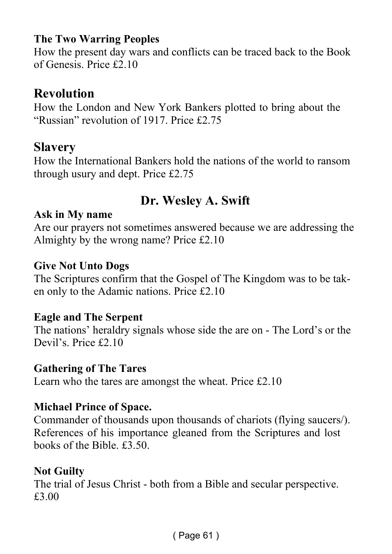#### **The Two Warring Peoples**

How the present day wars and conflicts can be traced back to the Book of Genesis. Price £2.10

#### **Revolution**

How the London and New York Bankers plotted to bring about the "Russian" revolution of 1917. Price £2.75

#### **Slavery**

How the International Bankers hold the nations of the world to ransom through usury and dept. Price £2.75

#### **Dr. Wesley A. Swift**

#### **Ask in My name**

Are our prayers not sometimes answered because we are addressing the Almighty by the wrong name? Price £2.10

#### **Give Not Unto Dogs**

The Scriptures confirm that the Gospel of The Kingdom was to be taken only to the Adamic nations. Price £2.10

#### **Eagle and The Serpent**

The nations' heraldry signals whose side the are on - The Lord's or the Devil's. Price £2.10

#### **Gathering of The Tares**

Learn who the tares are amongst the wheat. Price £2.10

#### **Michael Prince of Space.**

Commander of thousands upon thousands of chariots (flying saucers/). References of his importance gleaned from the Scriptures and lost books of the Bible. £3.50.

#### **Not Guilty**

The trial of Jesus Christ - both from a Bible and secular perspective. £3.00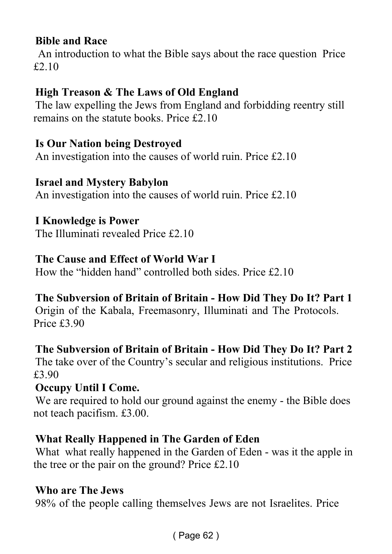#### **Bible and Race**

 An introduction to what the Bible says about the race question Price £2.10

#### **High Treason & The Laws of Old England**

The law expelling the Jews from England and forbidding reentry still remains on the statute books. Price £2.10

#### **Is Our Nation being Destroyed**

An investigation into the causes of world ruin. Price £2.10

#### **Israel and Mystery Babylon**

An investigation into the causes of world ruin. Price £2.10

**I Knowledge is Power**

The Illuminati revealed Price £2.10

#### **The Cause and Effect of World War I**

How the "hidden hand" controlled both sides. Price £2.10

#### **The Subversion of Britain of Britain - How Did They Do It? Part 1**

Origin of the Kabala, Freemasonry, Illuminati and The Protocols. Price £3.90

#### **The Subversion of Britain of Britain - How Did They Do It? Part 2**

The take over of the Country's secular and religious institutions. Price £3.90

#### **Occupy Until I Come.**

We are required to hold our ground against the enemy - the Bible does not teach pacifism. £3.00.

#### **What Really Happened in The Garden of Eden**

What what really happened in the Garden of Eden - was it the apple in the tree or the pair on the ground? Price £2.10

#### **Who are The Jews**

98% of the people calling themselves Jews are not Israelites. Price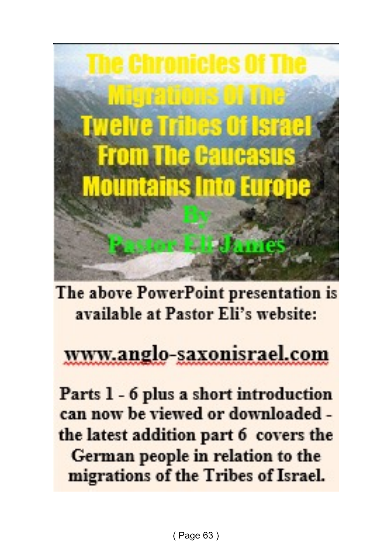

The above PowerPoint presentation is available at Pastor Eli's website:

## www.anglo-saxonisrael.com

Parts 1 - 6 plus a short introduction can now be viewed or downloaded the latest addition part 6 covers the German people in relation to the migrations of the Tribes of Israel.